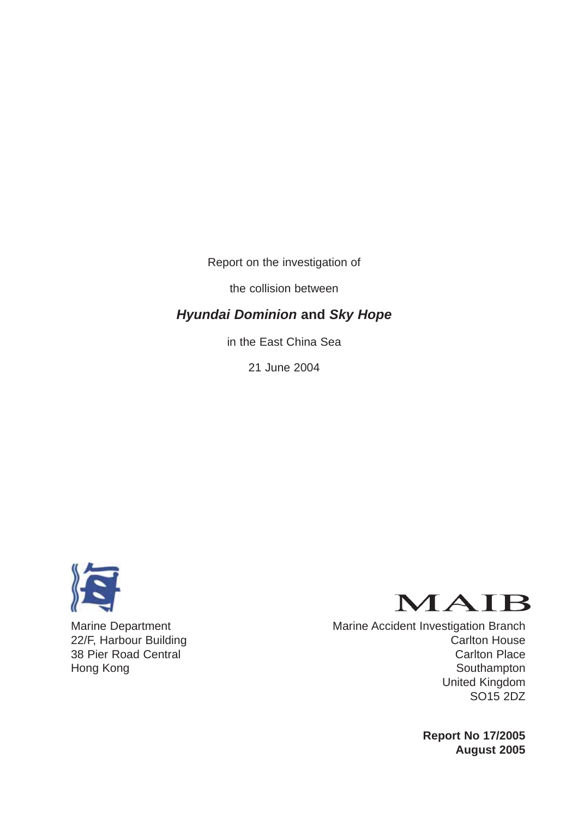Report on the investigation of

the collision between

# *Hyundai Dominion* **and** *Sky Hope*

in the East China Sea

21 June 2004





Marine Department Marine Accident Investigation Branch 22/F, Harbour Building 22/F, Harbour Building 38 Pier Road Central Carlton Place Hong Kong **Southampton** United Kingdom SO15 2DZ

> **Report No 17/2005 August 2005**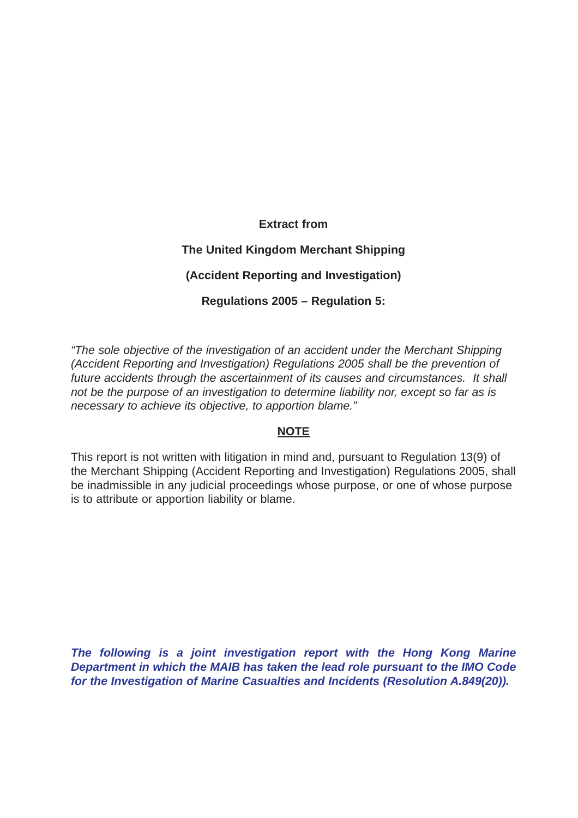# **Extract from The United Kingdom Merchant Shipping (Accident Reporting and Investigation) Regulations 2005 – Regulation 5:**

*"The sole objective of the investigation of an accident under the Merchant Shipping (Accident Reporting and Investigation) Regulations 2005 shall be the prevention of future accidents through the ascertainment of its causes and circumstances. It shall not be the purpose of an investigation to determine liability nor, except so far as is necessary to achieve its objective, to apportion blame."*

# **NOTE**

This report is not written with litigation in mind and, pursuant to Regulation 13(9) of the Merchant Shipping (Accident Reporting and Investigation) Regulations 2005, shall be inadmissible in any judicial proceedings whose purpose, or one of whose purpose is to attribute or apportion liability or blame.

*The following is a joint investigation report with the Hong Kong Marine Department in which the MAIB has taken the lead role pursuant to the IMO Code for the Investigation of Marine Casualties and Incidents (Resolution A.849(20)).*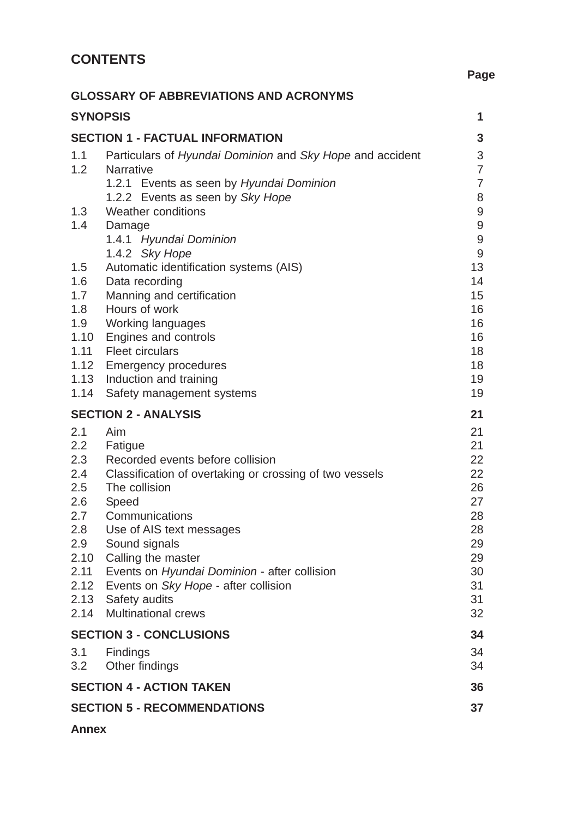|                                                                                                     | <b>GLOSSARY OF ABBREVIATIONS AND ACRONYMS</b>                                                                                                                                                                                                                                                                                                                       |                                                                                  |
|-----------------------------------------------------------------------------------------------------|---------------------------------------------------------------------------------------------------------------------------------------------------------------------------------------------------------------------------------------------------------------------------------------------------------------------------------------------------------------------|----------------------------------------------------------------------------------|
|                                                                                                     | <b>SYNOPSIS</b>                                                                                                                                                                                                                                                                                                                                                     | $\mathbf 1$                                                                      |
|                                                                                                     | <b>SECTION 1 - FACTUAL INFORMATION</b>                                                                                                                                                                                                                                                                                                                              | $\mathbf{3}$                                                                     |
| 1.1<br>1.2                                                                                          | Particulars of Hyundai Dominion and Sky Hope and accident<br><b>Narrative</b><br>1.2.1 Events as seen by Hyundai Dominion<br>1.2.2 Events as seen by Sky Hope                                                                                                                                                                                                       | 3<br>$\overline{7}$<br>$\overline{7}$<br>8                                       |
| 1.3<br>1.4                                                                                          | Weather conditions<br>Damage<br>1.4.1 Hyundai Dominion<br>1.4.2 Sky Hope                                                                                                                                                                                                                                                                                            | $\boldsymbol{9}$<br>$\mathsf 9$<br>$\mathsf 9$<br>9                              |
| 1.5<br>1.6<br>1.7<br>1.8<br>1.9<br>1.10<br>1.11<br>1.12<br>1.13<br>1.14                             | Automatic identification systems (AIS)<br>Data recording<br>Manning and certification<br>Hours of work<br><b>Working languages</b><br>Engines and controls<br><b>Fleet circulars</b><br><b>Emergency procedures</b><br>Induction and training<br>Safety management systems                                                                                          | 13<br>14<br>15<br>16<br>16<br>16<br>18<br>18<br>19<br>19                         |
|                                                                                                     | <b>SECTION 2 - ANALYSIS</b>                                                                                                                                                                                                                                                                                                                                         | 21                                                                               |
| 2.1<br>2.2<br>2.3<br>2.4<br>2.5<br>2.6<br>2.7<br>2.8<br>2.9<br>2.10<br>2.11<br>2.12<br>2.13<br>2.14 | Aim<br>Fatigue<br>Recorded events before collision<br>Classification of overtaking or crossing of two vessels<br>The collision<br>Speed<br>Communications<br>Use of AIS text messages<br>Sound signals<br>Calling the master<br>Events on Hyundai Dominion - after collision<br>Events on Sky Hope - after collision<br>Safety audits<br><b>Multinational crews</b> | 21<br>21<br>22<br>22<br>26<br>27<br>28<br>28<br>29<br>29<br>30<br>31<br>31<br>32 |
|                                                                                                     | <b>SECTION 3 - CONCLUSIONS</b>                                                                                                                                                                                                                                                                                                                                      | 34                                                                               |
| 3.1<br>3.2                                                                                          | Findings<br>Other findings                                                                                                                                                                                                                                                                                                                                          | 34<br>34                                                                         |
|                                                                                                     | <b>SECTION 4 - ACTION TAKEN</b>                                                                                                                                                                                                                                                                                                                                     | 36                                                                               |
|                                                                                                     | <b>SECTION 5 - RECOMMENDATIONS</b>                                                                                                                                                                                                                                                                                                                                  | 37                                                                               |

**Page**

**Annex**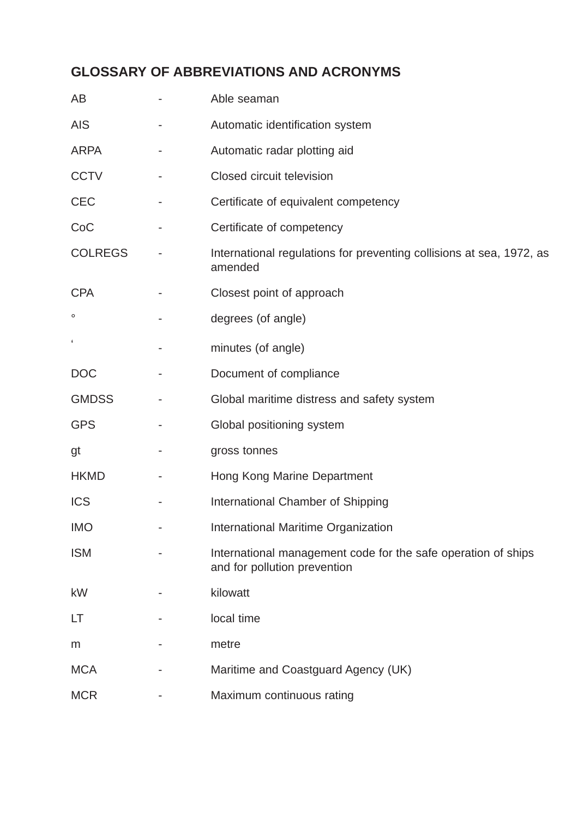# **GLOSSARY OF ABBREVIATIONS AND ACRONYMS**

| AB             | Able seaman                                                                                   |
|----------------|-----------------------------------------------------------------------------------------------|
| <b>AIS</b>     | Automatic identification system                                                               |
| <b>ARPA</b>    | Automatic radar plotting aid                                                                  |
| <b>CCTV</b>    | Closed circuit television                                                                     |
| <b>CEC</b>     | Certificate of equivalent competency                                                          |
| CoC            | Certificate of competency                                                                     |
| <b>COLREGS</b> | International regulations for preventing collisions at sea, 1972, as<br>amended               |
| <b>CPA</b>     | Closest point of approach                                                                     |
| o              | degrees (of angle)                                                                            |
| $\pmb{\zeta}$  | minutes (of angle)                                                                            |
| <b>DOC</b>     | Document of compliance                                                                        |
| <b>GMDSS</b>   | Global maritime distress and safety system                                                    |
| <b>GPS</b>     | Global positioning system                                                                     |
| gt             | gross tonnes                                                                                  |
| <b>HKMD</b>    | Hong Kong Marine Department                                                                   |
| <b>ICS</b>     | International Chamber of Shipping                                                             |
| <b>IMO</b>     | International Maritime Organization                                                           |
| <b>ISM</b>     | International management code for the safe operation of ships<br>and for pollution prevention |
| kW             | kilowatt                                                                                      |
| LT             | local time                                                                                    |
| m              | metre                                                                                         |
| <b>MCA</b>     | Maritime and Coastguard Agency (UK)                                                           |
| <b>MCR</b>     | Maximum continuous rating                                                                     |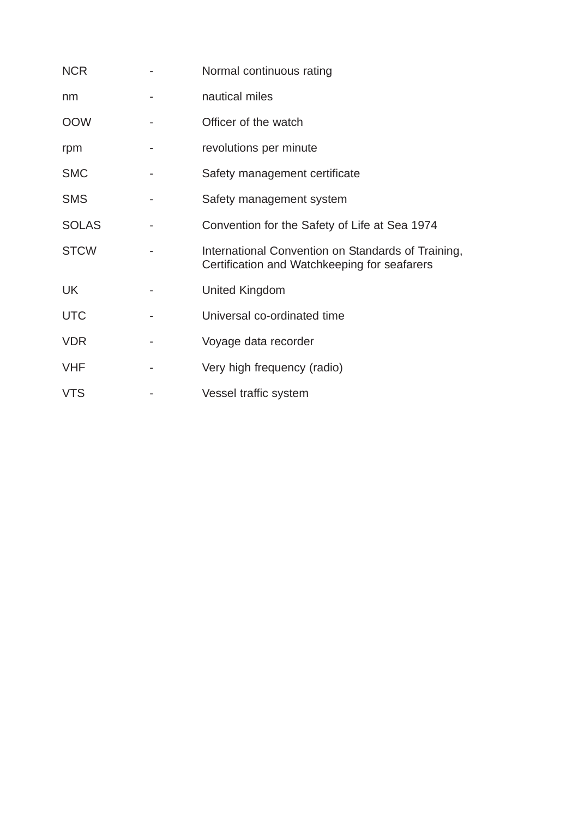| <b>NCR</b>   | Normal continuous rating                                                                           |
|--------------|----------------------------------------------------------------------------------------------------|
| nm           | nautical miles                                                                                     |
| <b>OOW</b>   | Officer of the watch                                                                               |
| rpm          | revolutions per minute                                                                             |
| <b>SMC</b>   | Safety management certificate                                                                      |
| <b>SMS</b>   | Safety management system                                                                           |
| <b>SOLAS</b> | Convention for the Safety of Life at Sea 1974                                                      |
| <b>STCW</b>  | International Convention on Standards of Training,<br>Certification and Watchkeeping for seafarers |
| <b>UK</b>    | United Kingdom                                                                                     |
| <b>UTC</b>   | Universal co-ordinated time                                                                        |
| <b>VDR</b>   | Voyage data recorder                                                                               |
| <b>VHF</b>   | Very high frequency (radio)                                                                        |
| <b>VTS</b>   | Vessel traffic system                                                                              |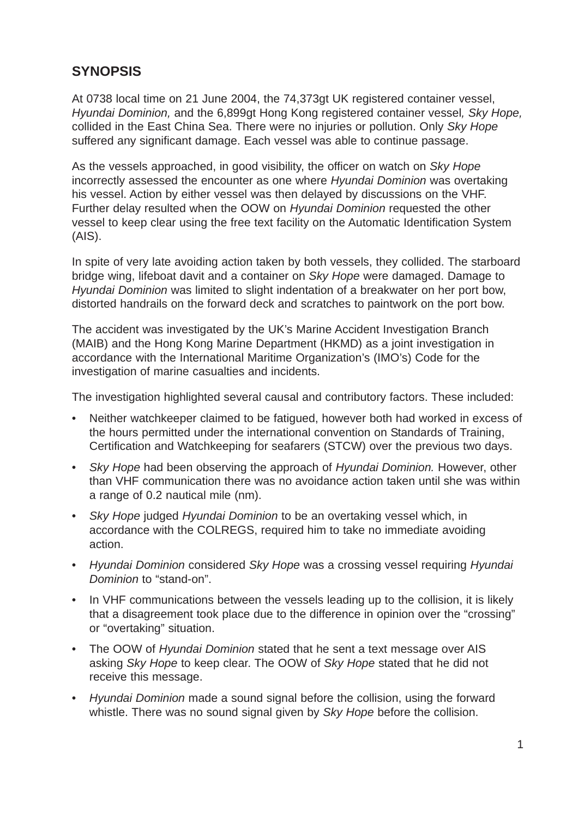# **SYNOPSIS**

At 0738 local time on 21 June 2004, the 74,373gt UK registered container vessel, *Hyundai Dominion,* and the 6,899gt Hong Kong registered container vessel*, Sky Hope,* collided in the East China Sea. There were no injuries or pollution. Only *Sky Hope* suffered any significant damage. Each vessel was able to continue passage.

As the vessels approached, in good visibility, the officer on watch on *Sky Hope* incorrectly assessed the encounter as one where *Hyundai Dominion* was overtaking his vessel. Action by either vessel was then delayed by discussions on the VHF. Further delay resulted when the OOW on *Hyundai Dominion* requested the other vessel to keep clear using the free text facility on the Automatic Identification System (AIS).

In spite of very late avoiding action taken by both vessels, they collided. The starboard bridge wing, lifeboat davit and a container on *Sky Hope* were damaged. Damage to *Hyundai Dominion* was limited to slight indentation of a breakwater on her port bow, distorted handrails on the forward deck and scratches to paintwork on the port bow.

The accident was investigated by the UK's Marine Accident Investigation Branch (MAIB) and the Hong Kong Marine Department (HKMD) as a joint investigation in accordance with the International Maritime Organization's (IMO's) Code for the investigation of marine casualties and incidents.

The investigation highlighted several causal and contributory factors. These included:

- Neither watchkeeper claimed to be fatigued, however both had worked in excess of the hours permitted under the international convention on Standards of Training, Certification and Watchkeeping for seafarers (STCW) over the previous two days.
- *Sky Hope* had been observing the approach of *Hyundai Dominion.* However, other than VHF communication there was no avoidance action taken until she was within a range of 0.2 nautical mile (nm).
- *Sky Hope* judged *Hyundai Dominion* to be an overtaking vessel which, in accordance with the COLREGS, required him to take no immediate avoiding action.
- *Hyundai Dominion* considered *Sky Hope* was a crossing vessel requiring *Hyundai Dominion* to "stand-on".
- In VHF communications between the vessels leading up to the collision, it is likely that a disagreement took place due to the difference in opinion over the "crossing" or "overtaking" situation.
- The OOW of *Hyundai Dominion* stated that he sent a text message over AIS asking *Sky Hope* to keep clear. The OOW of *Sky Hope* stated that he did not receive this message.
- *Hyundai Dominion* made a sound signal before the collision, using the forward whistle. There was no sound signal given by *Sky Hope* before the collision.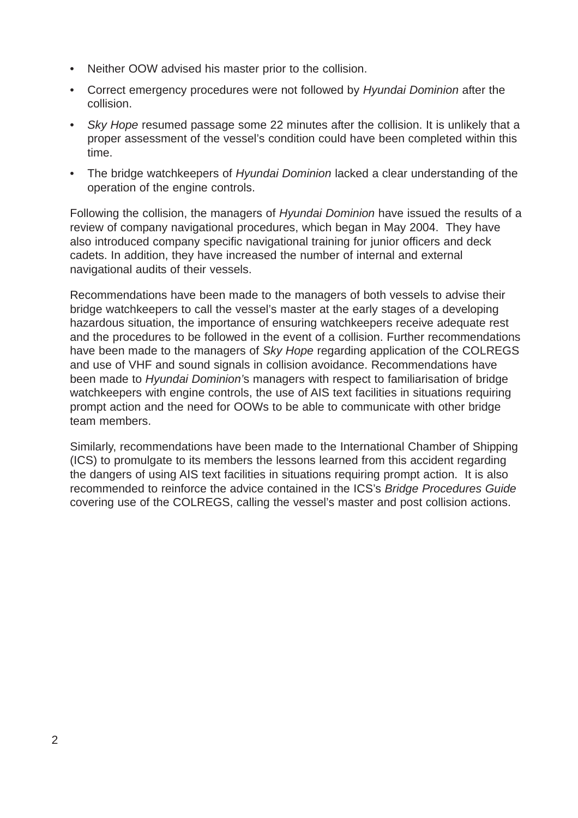- Neither OOW advised his master prior to the collision.
- Correct emergency procedures were not followed by *Hyundai Dominion* after the collision.
- *Sky Hope* resumed passage some 22 minutes after the collision. It is unlikely that a proper assessment of the vessel's condition could have been completed within this time.
- The bridge watchkeepers of *Hyundai Dominion* lacked a clear understanding of the operation of the engine controls.

Following the collision, the managers of *Hyundai Dominion* have issued the results of a review of company navigational procedures, which began in May 2004. They have also introduced company specific navigational training for junior officers and deck cadets. In addition, they have increased the number of internal and external navigational audits of their vessels.

Recommendations have been made to the managers of both vessels to advise their bridge watchkeepers to call the vessel's master at the early stages of a developing hazardous situation, the importance of ensuring watchkeepers receive adequate rest and the procedures to be followed in the event of a collision. Further recommendations have been made to the managers of *Sky Hope* regarding application of the COLREGS and use of VHF and sound signals in collision avoidance. Recommendations have been made to *Hyundai Dominion'*s managers with respect to familiarisation of bridge watchkeepers with engine controls, the use of AIS text facilities in situations requiring prompt action and the need for OOWs to be able to communicate with other bridge team members.

Similarly, recommendations have been made to the International Chamber of Shipping (ICS) to promulgate to its members the lessons learned from this accident regarding the dangers of using AIS text facilities in situations requiring prompt action. It is also recommended to reinforce the advice contained in the ICS's *Bridge Procedures Guide* covering use of the COLREGS, calling the vessel's master and post collision actions.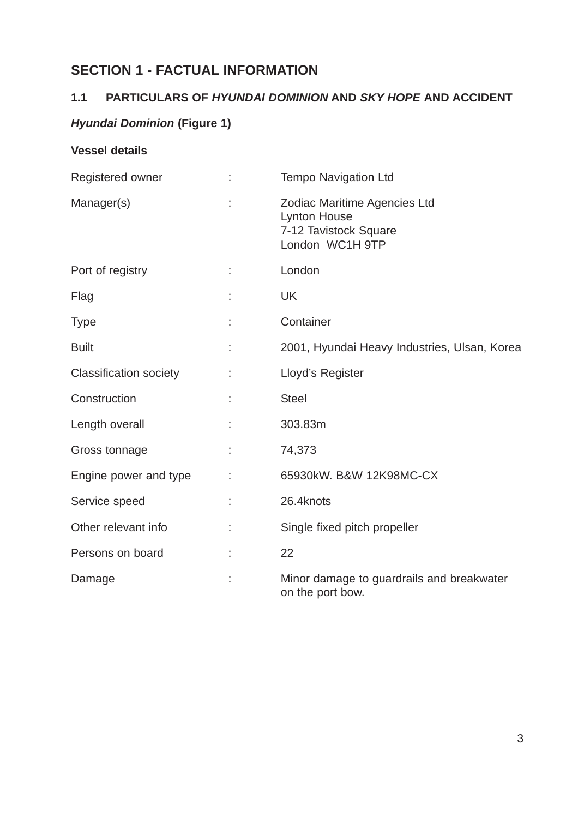# **SECTION 1 - FACTUAL INFORMATION**

# **1.1 PARTICULARS OF** *HYUNDAI DOMINION* **AND** *SKY HOPE* **AND ACCIDENT**

# *Hyundai Dominion* **(Figure 1)**

# **Vessel details**

| Registered owner              |   | <b>Tempo Navigation Ltd</b>                                                                     |
|-------------------------------|---|-------------------------------------------------------------------------------------------------|
| Manager(s)                    |   | Zodiac Maritime Agencies Ltd<br><b>Lynton House</b><br>7-12 Tavistock Square<br>London WC1H 9TP |
| Port of registry              |   | London                                                                                          |
| Flag                          |   | <b>UK</b>                                                                                       |
| <b>Type</b>                   |   | Container                                                                                       |
| <b>Built</b>                  |   | 2001, Hyundai Heavy Industries, Ulsan, Korea                                                    |
| <b>Classification society</b> |   | Lloyd's Register                                                                                |
| Construction                  |   | <b>Steel</b>                                                                                    |
| Length overall                |   | 303.83m                                                                                         |
| Gross tonnage                 |   | 74,373                                                                                          |
| Engine power and type         |   | 65930kW. B&W 12K98MC-CX                                                                         |
| Service speed                 |   | 26.4knots                                                                                       |
| Other relevant info           | t | Single fixed pitch propeller                                                                    |
| Persons on board              |   | 22                                                                                              |
| Damage                        |   | Minor damage to guardrails and breakwater<br>on the port bow.                                   |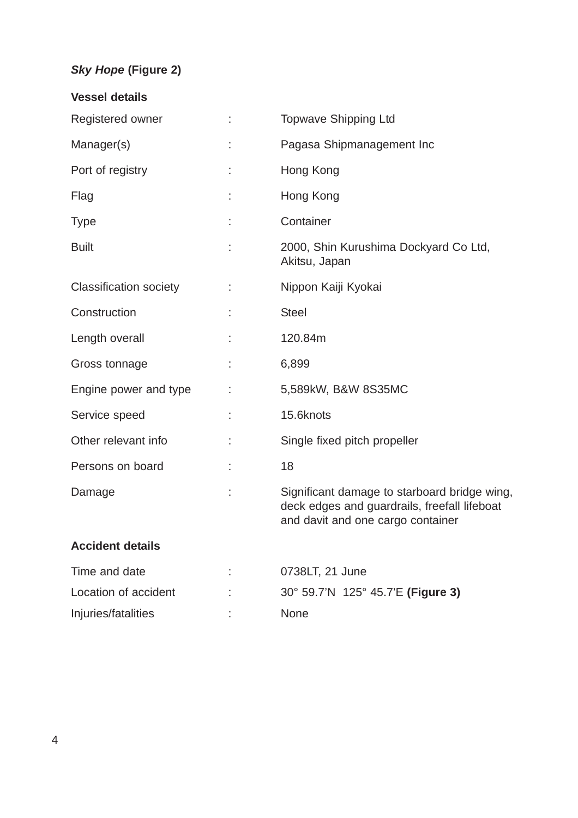# *Sky Hope* **(Figure 2)**

| <b>Vessel details</b>         |    |                                                                                                                                   |
|-------------------------------|----|-----------------------------------------------------------------------------------------------------------------------------------|
| Registered owner              | ÷  | <b>Topwave Shipping Ltd</b>                                                                                                       |
| Manager(s)                    | t, | Pagasa Shipmanagement Inc                                                                                                         |
| Port of registry              |    | Hong Kong                                                                                                                         |
| Flag                          |    | Hong Kong                                                                                                                         |
| <b>Type</b>                   |    | Container                                                                                                                         |
| <b>Built</b>                  |    | 2000, Shin Kurushima Dockyard Co Ltd,<br>Akitsu, Japan                                                                            |
| <b>Classification society</b> | ÷  | Nippon Kaiji Kyokai                                                                                                               |
| Construction                  |    | <b>Steel</b>                                                                                                                      |
| Length overall                |    | 120.84m                                                                                                                           |
| Gross tonnage                 |    | 6,899                                                                                                                             |
| Engine power and type         |    | 5,589kW, B&W 8S35MC                                                                                                               |
| Service speed                 |    | 15.6knots                                                                                                                         |
| Other relevant info           |    | Single fixed pitch propeller                                                                                                      |
| Persons on board              |    | 18                                                                                                                                |
| Damage                        |    | Significant damage to starboard bridge wing,<br>deck edges and guardrails, freefall lifeboat<br>and davit and one cargo container |
| <b>Accident details</b>       |    |                                                                                                                                   |
| Time and date                 |    | 0738LT, 21 June                                                                                                                   |

| Time and date        | 0738LT, 21 June                   |
|----------------------|-----------------------------------|
| Location of accident | 30° 59.7'N 125° 45.7'E (Figure 3) |
| Injuries/fatalities  | <b>None</b>                       |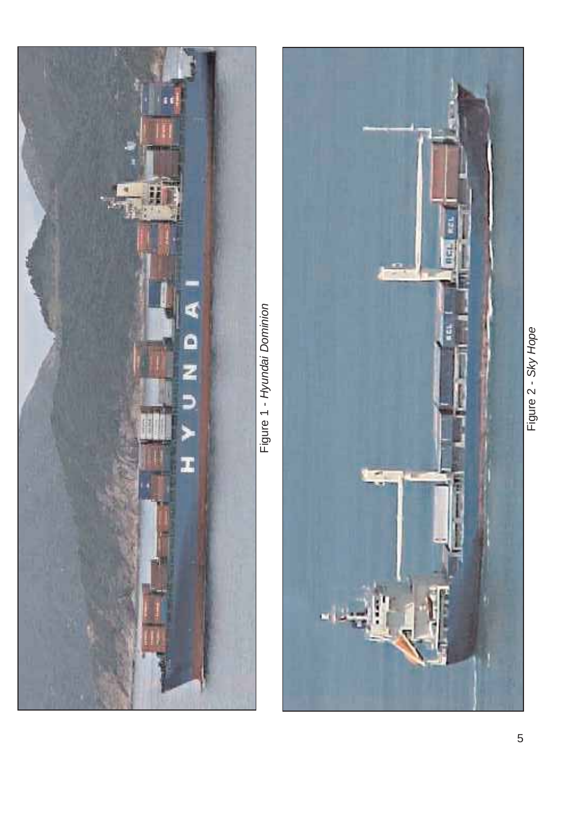

Figure 1 - Hyundai Dominion Figure 1 - *Hyundai Dominion*



Figure 2 - Sky Hope Figure 2 - *Sky Hope*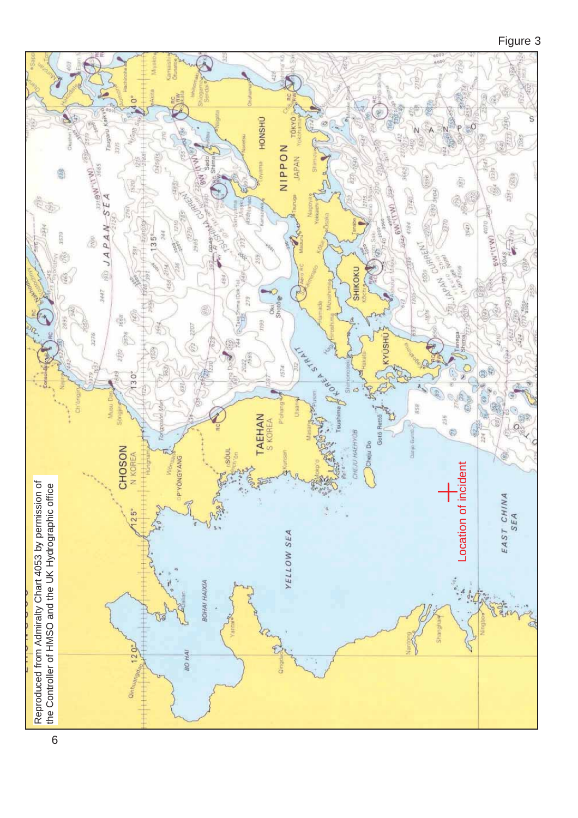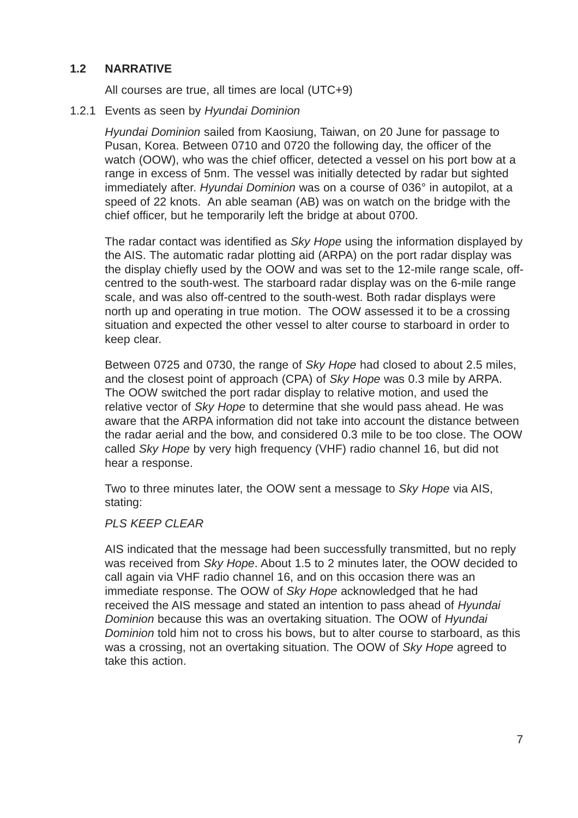# **1.2 NARRATIVE**

All courses are true, all times are local (UTC+9)

#### 1.2.1 Events as seen by *Hyundai Dominion*

*Hyundai Dominion* sailed from Kaosiung, Taiwan, on 20 June for passage to Pusan, Korea. Between 0710 and 0720 the following day, the officer of the watch (OOW), who was the chief officer, detected a vessel on his port bow at a range in excess of 5nm. The vessel was initially detected by radar but sighted immediately after. *Hyundai Dominion* was on a course of 036° in autopilot, at a speed of 22 knots. An able seaman (AB) was on watch on the bridge with the chief officer, but he temporarily left the bridge at about 0700.

The radar contact was identified as *Sky Hope* using the information displayed by the AIS. The automatic radar plotting aid (ARPA) on the port radar display was the display chiefly used by the OOW and was set to the 12-mile range scale, offcentred to the south-west. The starboard radar display was on the 6-mile range scale, and was also off-centred to the south-west. Both radar displays were north up and operating in true motion. The OOW assessed it to be a crossing situation and expected the other vessel to alter course to starboard in order to keep clear.

Between 0725 and 0730, the range of *Sky Hope* had closed to about 2.5 miles, and the closest point of approach (CPA) of *Sky Hope* was 0.3 mile by ARPA. The OOW switched the port radar display to relative motion, and used the relative vector of *Sky Hope* to determine that she would pass ahead. He was aware that the ARPA information did not take into account the distance between the radar aerial and the bow, and considered 0.3 mile to be too close. The OOW called *Sky Hope* by very high frequency (VHF) radio channel 16, but did not hear a response.

Two to three minutes later, the OOW sent a message to *Sky Hope* via AIS, stating:

#### *PLS KEEP CLEAR*

AIS indicated that the message had been successfully transmitted, but no reply was received from *Sky Hope*. About 1.5 to 2 minutes later, the OOW decided to call again via VHF radio channel 16, and on this occasion there was an immediate response. The OOW of *Sky Hope* acknowledged that he had received the AIS message and stated an intention to pass ahead of *Hyundai Dominion* because this was an overtaking situation. The OOW of *Hyundai Dominion* told him not to cross his bows, but to alter course to starboard, as this was a crossing, not an overtaking situation. The OOW of *Sky Hope* agreed to take this action.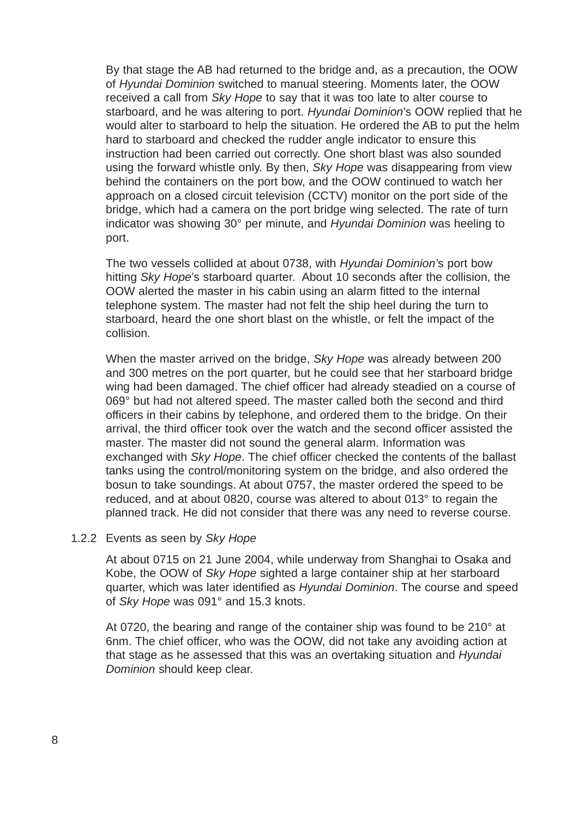By that stage the AB had returned to the bridge and, as a precaution, the OOW of *Hyundai Dominion* switched to manual steering. Moments later, the OOW received a call from *Sky Hope* to say that it was too late to alter course to starboard, and he was altering to port. *Hyundai Dominion*'s OOW replied that he would alter to starboard to help the situation. He ordered the AB to put the helm hard to starboard and checked the rudder angle indicator to ensure this instruction had been carried out correctly. One short blast was also sounded using the forward whistle only. By then, *Sky Hope* was disappearing from view behind the containers on the port bow, and the OOW continued to watch her approach on a closed circuit television (CCTV) monitor on the port side of the bridge, which had a camera on the port bridge wing selected. The rate of turn indicator was showing 30° per minute, and *Hyundai Dominion* was heeling to port.

The two vessels collided at about 0738, with *Hyundai Dominion'*s port bow hitting *Sky Hope*'s starboard quarter. About 10 seconds after the collision, the OOW alerted the master in his cabin using an alarm fitted to the internal telephone system. The master had not felt the ship heel during the turn to starboard, heard the one short blast on the whistle, or felt the impact of the collision.

When the master arrived on the bridge, *Sky Hope* was already between 200 and 300 metres on the port quarter, but he could see that her starboard bridge wing had been damaged. The chief officer had already steadied on a course of 069° but had not altered speed. The master called both the second and third officers in their cabins by telephone, and ordered them to the bridge. On their arrival, the third officer took over the watch and the second officer assisted the master. The master did not sound the general alarm. Information was exchanged with *Sky Hope*. The chief officer checked the contents of the ballast tanks using the control/monitoring system on the bridge, and also ordered the bosun to take soundings. At about 0757, the master ordered the speed to be reduced, and at about 0820, course was altered to about 013° to regain the planned track. He did not consider that there was any need to reverse course.

#### 1.2.2 Events as seen by *Sky Hope*

At about 0715 on 21 June 2004, while underway from Shanghai to Osaka and Kobe, the OOW of *Sky Hope* sighted a large container ship at her starboard quarter, which was later identified as *Hyundai Dominion*. The course and speed of *Sky Hope* was 091° and 15.3 knots.

At 0720, the bearing and range of the container ship was found to be 210° at 6nm. The chief officer, who was the OOW, did not take any avoiding action at that stage as he assessed that this was an overtaking situation and *Hyundai Dominion* should keep clear.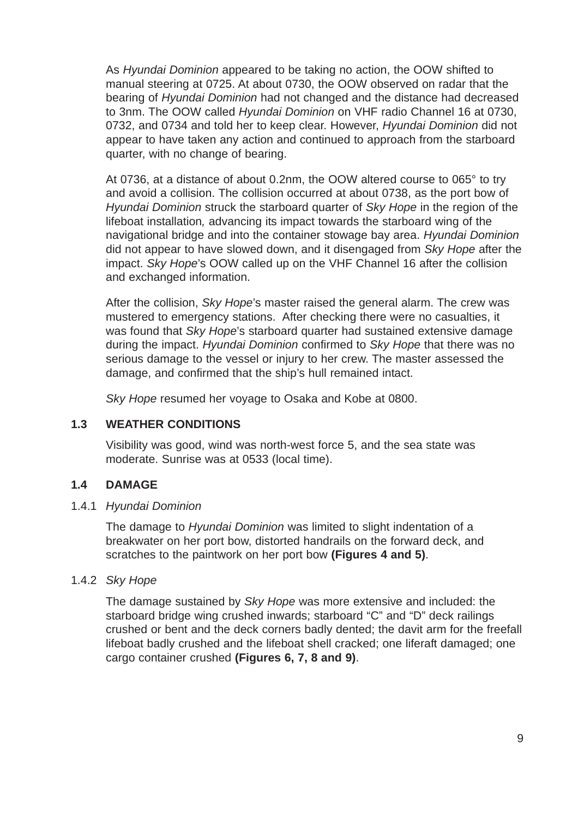As *Hyundai Dominion* appeared to be taking no action, the OOW shifted to manual steering at 0725. At about 0730, the OOW observed on radar that the bearing of *Hyundai Dominion* had not changed and the distance had decreased to 3nm. The OOW called *Hyundai Dominion* on VHF radio Channel 16 at 0730, 0732, and 0734 and told her to keep clear. However, *Hyundai Dominion* did not appear to have taken any action and continued to approach from the starboard quarter, with no change of bearing.

At 0736, at a distance of about 0.2nm, the OOW altered course to 065° to try and avoid a collision. The collision occurred at about 0738, as the port bow of *Hyundai Dominion* struck the starboard quarter of *Sky Hope* in the region of the lifeboat installation*,* advancing its impact towards the starboard wing of the navigational bridge and into the container stowage bay area. *Hyundai Dominion* did not appear to have slowed down, and it disengaged from *Sky Hope* after the impact. *Sky Hope*'s OOW called up on the VHF Channel 16 after the collision and exchanged information.

After the collision, *Sky Hope*'s master raised the general alarm. The crew was mustered to emergency stations. After checking there were no casualties, it was found that *Sky Hope*'s starboard quarter had sustained extensive damage during the impact. *Hyundai Dominion* confirmed to *Sky Hope* that there was no serious damage to the vessel or injury to her crew. The master assessed the damage, and confirmed that the ship's hull remained intact.

*Sky Hope* resumed her voyage to Osaka and Kobe at 0800.

# **1.3 WEATHER CONDITIONS**

Visibility was good, wind was north-west force 5, and the sea state was moderate. Sunrise was at 0533 (local time).

# **1.4 DAMAGE**

### 1.4.1 *Hyundai Dominion*

The damage to *Hyundai Dominion* was limited to slight indentation of a breakwater on her port bow, distorted handrails on the forward deck, and scratches to the paintwork on her port bow **(Figures 4 and 5)**.

### 1.4.2 *Sky Hope*

The damage sustained by *Sky Hope* was more extensive and included: the starboard bridge wing crushed inwards; starboard "C" and "D" deck railings crushed or bent and the deck corners badly dented; the davit arm for the freefall lifeboat badly crushed and the lifeboat shell cracked; one liferaft damaged; one cargo container crushed **(Figures 6, 7, 8 and 9)**.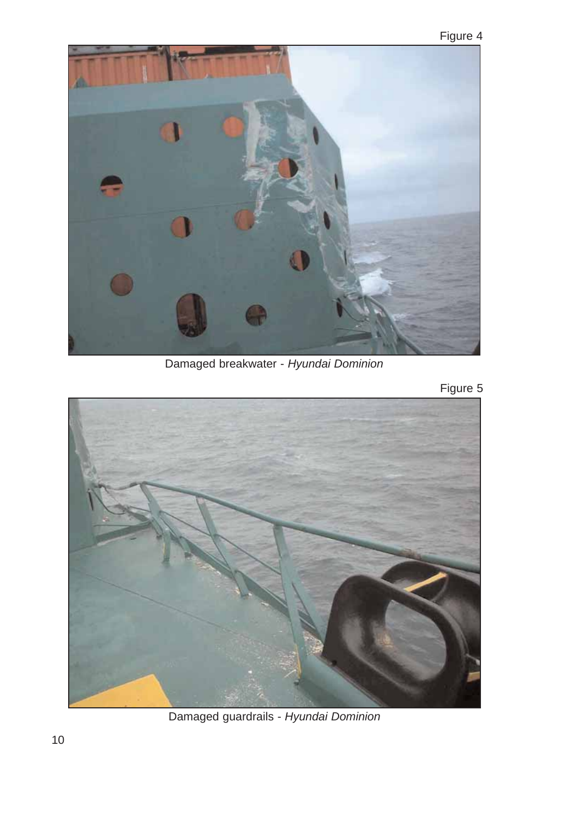

Damaged breakwater - *Hyundai Dominion*

Figure 5



Damaged guardrails - *Hyundai Dominion*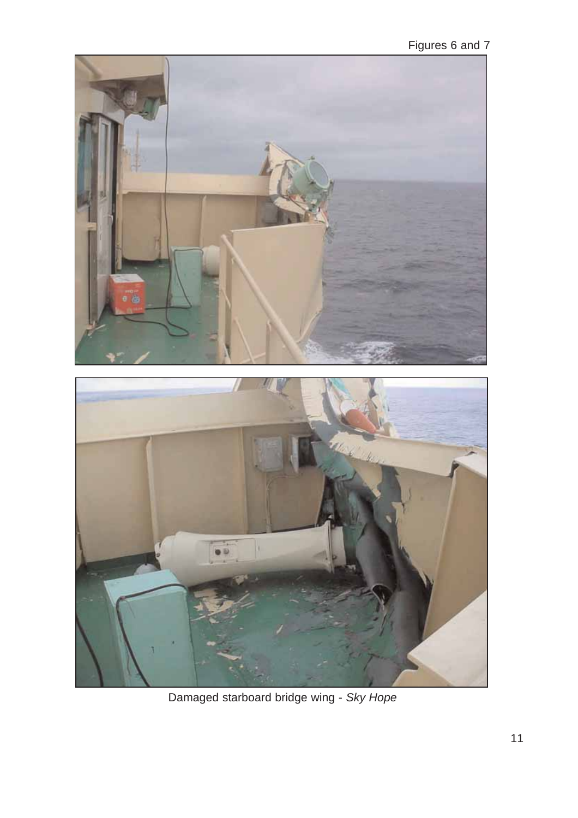Figures 6 and 7



Damaged starboard bridge wing - *Sky Hope*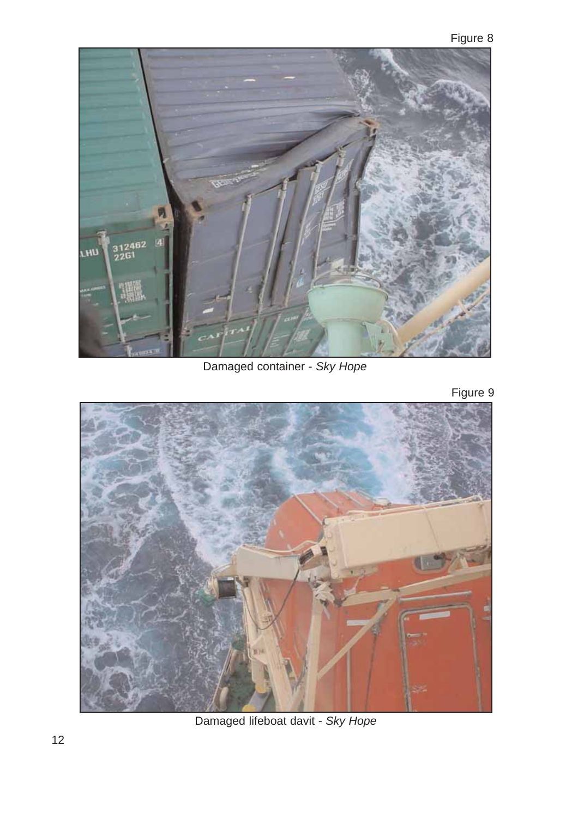

Damaged container - *Sky Hope*

Figure 9



Damaged lifeboat davit - *Sky Hope*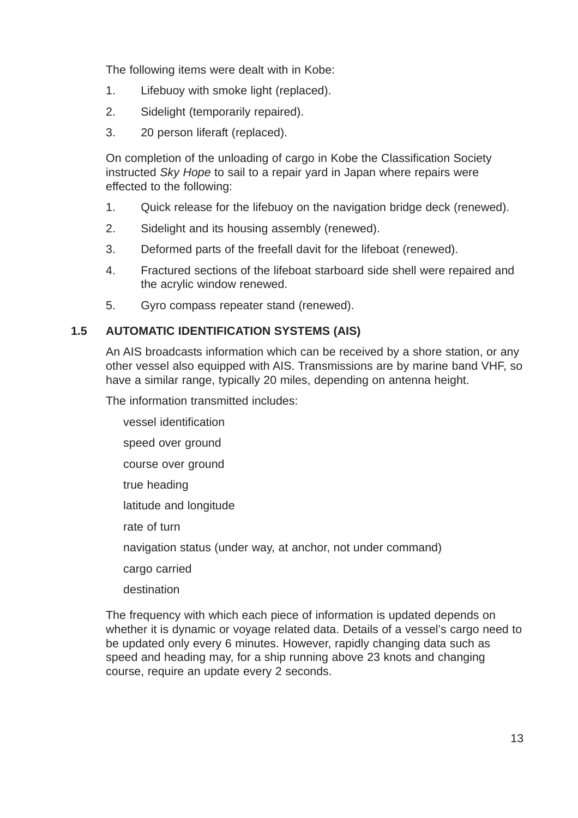The following items were dealt with in Kobe:

- 1. Lifebuoy with smoke light (replaced).
- 2. Sidelight (temporarily repaired).
- 3. 20 person liferaft (replaced).

On completion of the unloading of cargo in Kobe the Classification Society instructed *Sky Hope* to sail to a repair yard in Japan where repairs were effected to the following:

- 1. Quick release for the lifebuoy on the navigation bridge deck (renewed).
- 2. Sidelight and its housing assembly (renewed).
- 3. Deformed parts of the freefall davit for the lifeboat (renewed).
- 4. Fractured sections of the lifeboat starboard side shell were repaired and the acrylic window renewed.
- 5. Gyro compass repeater stand (renewed).

# **1.5 AUTOMATIC IDENTIFICATION SYSTEMS (AIS)**

An AIS broadcasts information which can be received by a shore station, or any other vessel also equipped with AIS. Transmissions are by marine band VHF, so have a similar range, typically 20 miles, depending on antenna height.

The information transmitted includes:

vessel identification speed over ground course over ground true heading latitude and longitude rate of turn navigation status (under way, at anchor, not under command) cargo carried destination

The frequency with which each piece of information is updated depends on whether it is dynamic or voyage related data. Details of a vessel's cargo need to be updated only every 6 minutes. However, rapidly changing data such as speed and heading may, for a ship running above 23 knots and changing course, require an update every 2 seconds.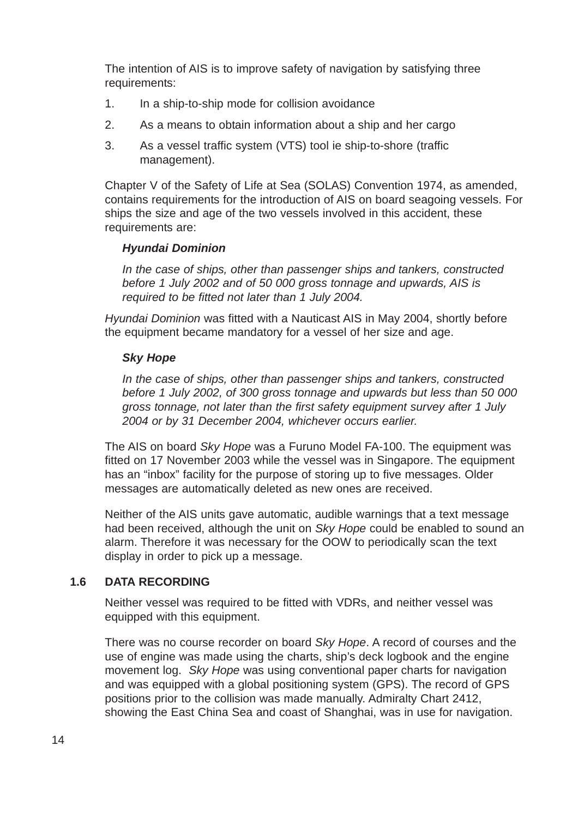The intention of AIS is to improve safety of navigation by satisfying three requirements:

- 1. In a ship-to-ship mode for collision avoidance
- 2. As a means to obtain information about a ship and her cargo
- 3. As a vessel traffic system (VTS) tool ie ship-to-shore (traffic management).

Chapter V of the Safety of Life at Sea (SOLAS) Convention 1974, as amended, contains requirements for the introduction of AIS on board seagoing vessels. For ships the size and age of the two vessels involved in this accident, these requirements are:

# *Hyundai Dominion*

*In the case of ships, other than passenger ships and tankers, constructed before 1 July 2002 and of 50 000 gross tonnage and upwards, AIS is required to be fitted not later than 1 July 2004.*

*Hyundai Dominion* was fitted with a Nauticast AIS in May 2004, shortly before the equipment became mandatory for a vessel of her size and age.

### *Sky Hope*

*In the case of ships, other than passenger ships and tankers, constructed before 1 July 2002, of 300 gross tonnage and upwards but less than 50 000 gross tonnage, not later than the first safety equipment survey after 1 July 2004 or by 31 December 2004, whichever occurs earlier.*

The AIS on board *Sky Hope* was a Furuno Model FA-100. The equipment was fitted on 17 November 2003 while the vessel was in Singapore. The equipment has an "inbox" facility for the purpose of storing up to five messages. Older messages are automatically deleted as new ones are received.

Neither of the AIS units gave automatic, audible warnings that a text message had been received, although the unit on *Sky Hope* could be enabled to sound an alarm. Therefore it was necessary for the OOW to periodically scan the text display in order to pick up a message.

### **1.6 DATA RECORDING**

Neither vessel was required to be fitted with VDRs, and neither vessel was equipped with this equipment.

There was no course recorder on board *Sky Hope*. A record of courses and the use of engine was made using the charts, ship's deck logbook and the engine movement log. *Sky Hope* was using conventional paper charts for navigation and was equipped with a global positioning system (GPS). The record of GPS positions prior to the collision was made manually. Admiralty Chart 2412, showing the East China Sea and coast of Shanghai, was in use for navigation.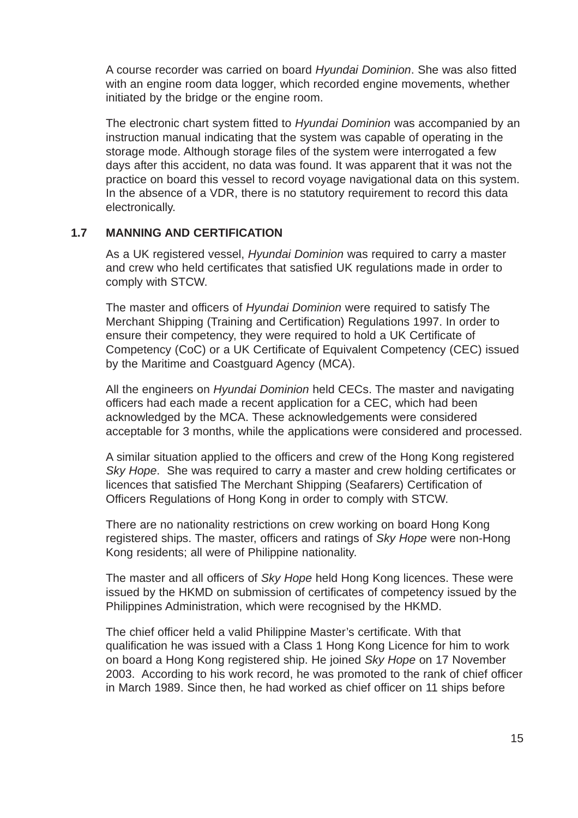A course recorder was carried on board *Hyundai Dominion*. She was also fitted with an engine room data logger, which recorded engine movements, whether initiated by the bridge or the engine room.

The electronic chart system fitted to *Hyundai Dominion* was accompanied by an instruction manual indicating that the system was capable of operating in the storage mode. Although storage files of the system were interrogated a few days after this accident, no data was found. It was apparent that it was not the practice on board this vessel to record voyage navigational data on this system. In the absence of a VDR, there is no statutory requirement to record this data electronically.

### **1.7 MANNING AND CERTIFICATION**

As a UK registered vessel, *Hyundai Dominion* was required to carry a master and crew who held certificates that satisfied UK regulations made in order to comply with STCW.

The master and officers of *Hyundai Dominion* were required to satisfy The Merchant Shipping (Training and Certification) Regulations 1997. In order to ensure their competency, they were required to hold a UK Certificate of Competency (CoC) or a UK Certificate of Equivalent Competency (CEC) issued by the Maritime and Coastguard Agency (MCA).

All the engineers on *Hyundai Dominion* held CECs. The master and navigating officers had each made a recent application for a CEC, which had been acknowledged by the MCA. These acknowledgements were considered acceptable for 3 months, while the applications were considered and processed.

A similar situation applied to the officers and crew of the Hong Kong registered *Sky Hope*. She was required to carry a master and crew holding certificates or licences that satisfied The Merchant Shipping (Seafarers) Certification of Officers Regulations of Hong Kong in order to comply with STCW.

There are no nationality restrictions on crew working on board Hong Kong registered ships. The master, officers and ratings of *Sky Hope* were non-Hong Kong residents; all were of Philippine nationality.

The master and all officers of *Sky Hope* held Hong Kong licences. These were issued by the HKMD on submission of certificates of competency issued by the Philippines Administration, which were recognised by the HKMD.

The chief officer held a valid Philippine Master's certificate. With that qualification he was issued with a Class 1 Hong Kong Licence for him to work on board a Hong Kong registered ship. He joined *Sky Hope* on 17 November 2003. According to his work record, he was promoted to the rank of chief officer in March 1989. Since then, he had worked as chief officer on 11 ships before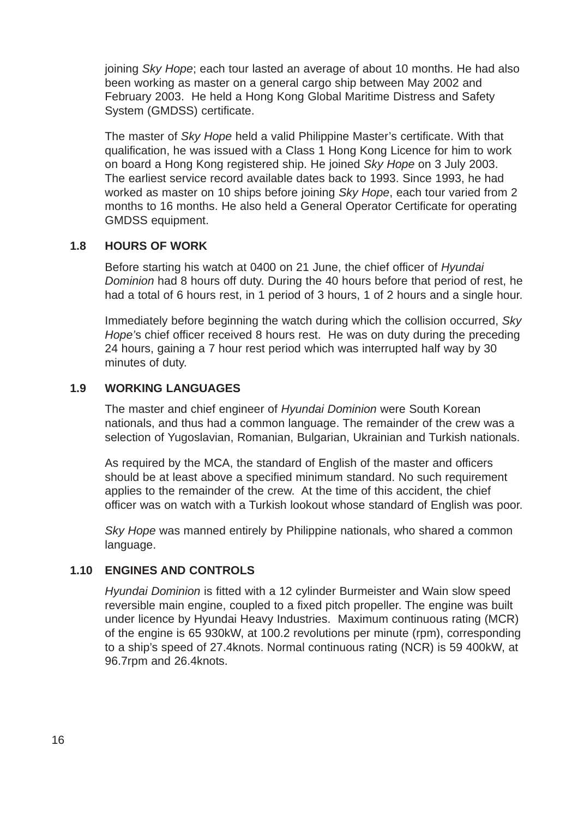joining *Sky Hope*; each tour lasted an average of about 10 months. He had also been working as master on a general cargo ship between May 2002 and February 2003. He held a Hong Kong Global Maritime Distress and Safety System (GMDSS) certificate.

The master of *Sky Hope* held a valid Philippine Master's certificate. With that qualification, he was issued with a Class 1 Hong Kong Licence for him to work on board a Hong Kong registered ship. He joined *Sky Hope* on 3 July 2003. The earliest service record available dates back to 1993. Since 1993, he had worked as master on 10 ships before joining *Sky Hope*, each tour varied from 2 months to 16 months. He also held a General Operator Certificate for operating GMDSS equipment.

### **1.8 HOURS OF WORK**

Before starting his watch at 0400 on 21 June, the chief officer of *Hyundai Dominion* had 8 hours off duty. During the 40 hours before that period of rest, he had a total of 6 hours rest, in 1 period of 3 hours, 1 of 2 hours and a single hour.

Immediately before beginning the watch during which the collision occurred, *Sky Hope'*s chief officer received 8 hours rest. He was on duty during the preceding 24 hours, gaining a 7 hour rest period which was interrupted half way by 30 minutes of duty.

### **1.9 WORKING LANGUAGES**

The master and chief engineer of *Hyundai Dominion* were South Korean nationals, and thus had a common language. The remainder of the crew was a selection of Yugoslavian, Romanian, Bulgarian, Ukrainian and Turkish nationals.

As required by the MCA, the standard of English of the master and officers should be at least above a specified minimum standard. No such requirement applies to the remainder of the crew. At the time of this accident, the chief officer was on watch with a Turkish lookout whose standard of English was poor.

*Sky Hope* was manned entirely by Philippine nationals, who shared a common language.

### **1.10 ENGINES AND CONTROLS**

*Hyundai Dominion* is fitted with a 12 cylinder Burmeister and Wain slow speed reversible main engine, coupled to a fixed pitch propeller. The engine was built under licence by Hyundai Heavy Industries. Maximum continuous rating (MCR) of the engine is 65 930kW, at 100.2 revolutions per minute (rpm), corresponding to a ship's speed of 27.4knots. Normal continuous rating (NCR) is 59 400kW, at 96.7rpm and 26.4knots.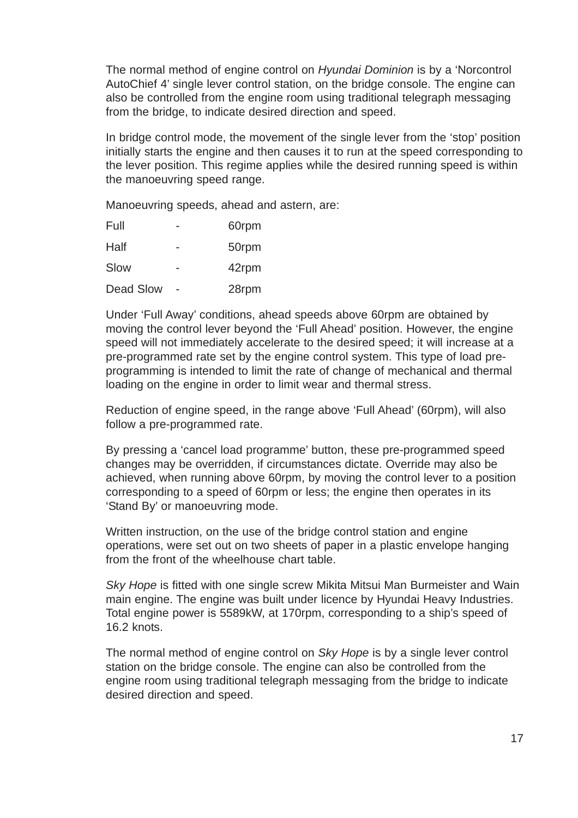The normal method of engine control on *Hyundai Dominion* is by a 'Norcontrol AutoChief 4' single lever control station, on the bridge console. The engine can also be controlled from the engine room using traditional telegraph messaging from the bridge, to indicate desired direction and speed.

In bridge control mode, the movement of the single lever from the 'stop' position initially starts the engine and then causes it to run at the speed corresponding to the lever position. This regime applies while the desired running speed is within the manoeuvring speed range.

Manoeuvring speeds, ahead and astern, are:

| Full      | 60rpm |
|-----------|-------|
| Half      | 50rpm |
| Slow      | 42rpm |
| Dead Slow | 28rpm |

Under 'Full Away' conditions, ahead speeds above 60rpm are obtained by moving the control lever beyond the 'Full Ahead' position. However, the engine speed will not immediately accelerate to the desired speed; it will increase at a pre-programmed rate set by the engine control system. This type of load preprogramming is intended to limit the rate of change of mechanical and thermal loading on the engine in order to limit wear and thermal stress.

Reduction of engine speed, in the range above 'Full Ahead' (60rpm), will also follow a pre-programmed rate.

By pressing a 'cancel load programme' button, these pre-programmed speed changes may be overridden, if circumstances dictate. Override may also be achieved, when running above 60rpm, by moving the control lever to a position corresponding to a speed of 60rpm or less; the engine then operates in its 'Stand By' or manoeuvring mode.

Written instruction, on the use of the bridge control station and engine operations, were set out on two sheets of paper in a plastic envelope hanging from the front of the wheelhouse chart table.

**Sky Hope is fitted with one single screw Mikita Mitsui Man Burmeister and Wain** main engine. The engine was built under licence by Hyundai Heavy Industries. Total engine power is 5589kW, at 170rpm, corresponding to a ship's speed of 16.2 knots.

The normal method of engine control on *Sky Hope* is by a single lever control station on the bridge console. The engine can also be controlled from the engine room using traditional telegraph messaging from the bridge to indicate desired direction and speed.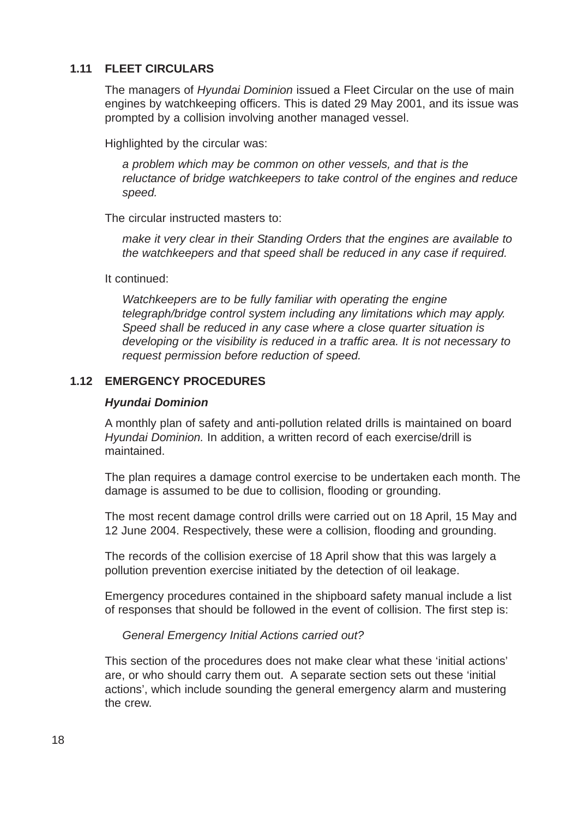# **1.11 FLEET CIRCULARS**

The managers of *Hyundai Dominion* issued a Fleet Circular on the use of main engines by watchkeeping officers. This is dated 29 May 2001, and its issue was prompted by a collision involving another managed vessel.

Highlighted by the circular was:

*a problem which may be common on other vessels, and that is the reluctance of bridge watchkeepers to take control of the engines and reduce speed.*

The circular instructed masters to:

*make it very clear in their Standing Orders that the engines are available to the watchkeepers and that speed shall be reduced in any case if required.*

It continued:

*Watchkeepers are to be fully familiar with operating the engine telegraph/bridge control system including any limitations which may apply. Speed shall be reduced in any case where a close quarter situation is developing or the visibility is reduced in a traffic area. It is not necessary to request permission before reduction of speed.*

# **1.12 EMERGENCY PROCEDURES**

### *Hyundai Dominion*

A monthly plan of safety and anti-pollution related drills is maintained on board *Hyundai Dominion.* In addition, a written record of each exercise/drill is maintained.

The plan requires a damage control exercise to be undertaken each month. The damage is assumed to be due to collision, flooding or grounding.

The most recent damage control drills were carried out on 18 April, 15 May and 12 June 2004. Respectively, these were a collision, flooding and grounding.

The records of the collision exercise of 18 April show that this was largely a pollution prevention exercise initiated by the detection of oil leakage.

Emergency procedures contained in the shipboard safety manual include a list of responses that should be followed in the event of collision. The first step is:

### *General Emergency Initial Actions carried out?*

This section of the procedures does not make clear what these 'initial actions' are, or who should carry them out. A separate section sets out these 'initial actions', which include sounding the general emergency alarm and mustering the crew.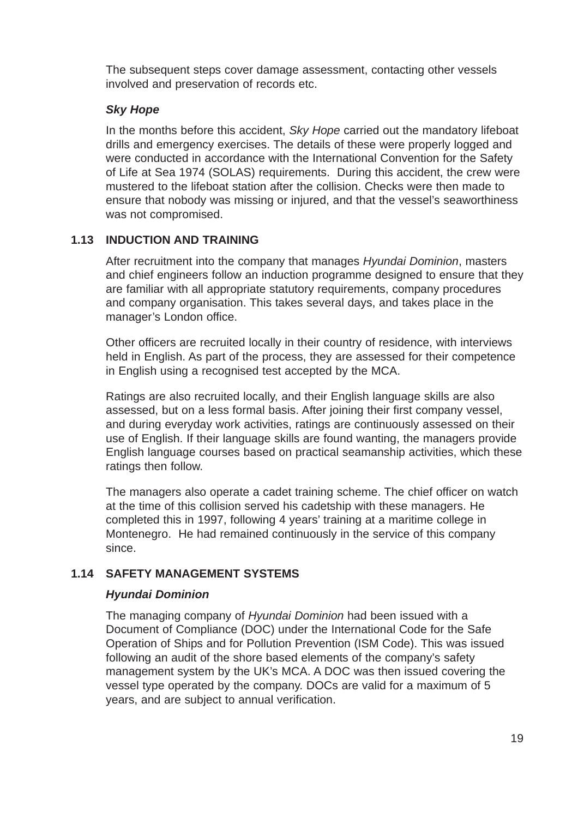The subsequent steps cover damage assessment, contacting other vessels involved and preservation of records etc.

### *Sky Hope*

In the months before this accident, *Sky Hope* carried out the mandatory lifeboat drills and emergency exercises. The details of these were properly logged and were conducted in accordance with the International Convention for the Safety of Life at Sea 1974 (SOLAS) requirements. During this accident, the crew were mustered to the lifeboat station after the collision. Checks were then made to ensure that nobody was missing or injured, and that the vessel's seaworthiness was not compromised.

### **1.13 INDUCTION AND TRAINING**

After recruitment into the company that manages *Hyundai Dominion*, masters and chief engineers follow an induction programme designed to ensure that they are familiar with all appropriate statutory requirements, company procedures and company organisation. This takes several days, and takes place in the manager's London office.

Other officers are recruited locally in their country of residence, with interviews held in English. As part of the process, they are assessed for their competence in English using a recognised test accepted by the MCA.

Ratings are also recruited locally, and their English language skills are also assessed, but on a less formal basis. After joining their first company vessel, and during everyday work activities, ratings are continuously assessed on their use of English. If their language skills are found wanting, the managers provide English language courses based on practical seamanship activities, which these ratings then follow.

The managers also operate a cadet training scheme. The chief officer on watch at the time of this collision served his cadetship with these managers. He completed this in 1997, following 4 years' training at a maritime college in Montenegro. He had remained continuously in the service of this company since.

# **1.14 SAFETY MANAGEMENT SYSTEMS**

### *Hyundai Dominion*

The managing company of *Hyundai Dominion* had been issued with a Document of Compliance (DOC) under the International Code for the Safe Operation of Ships and for Pollution Prevention (ISM Code). This was issued following an audit of the shore based elements of the company's safety management system by the UK's MCA. A DOC was then issued covering the vessel type operated by the company. DOCs are valid for a maximum of 5 years, and are subject to annual verification.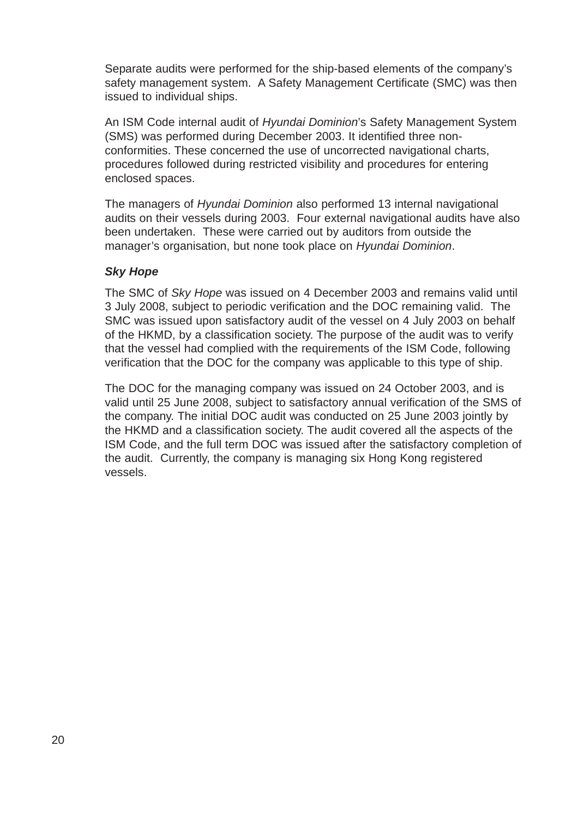Separate audits were performed for the ship-based elements of the company's safety management system. A Safety Management Certificate (SMC) was then issued to individual ships.

An ISM Code internal audit of *Hyundai Dominion*'s Safety Management System (SMS) was performed during December 2003. It identified three nonconformities. These concerned the use of uncorrected navigational charts, procedures followed during restricted visibility and procedures for entering enclosed spaces.

The managers of *Hyundai Dominion* also performed 13 internal navigational audits on their vessels during 2003. Four external navigational audits have also been undertaken. These were carried out by auditors from outside the manager's organisation, but none took place on *Hyundai Dominion*.

### *Sky Hope*

The SMC of *Sky Hope* was issued on 4 December 2003 and remains valid until 3 July 2008, subject to periodic verification and the DOC remaining valid. The SMC was issued upon satisfactory audit of the vessel on 4 July 2003 on behalf of the HKMD, by a classification society. The purpose of the audit was to verify that the vessel had complied with the requirements of the ISM Code, following verification that the DOC for the company was applicable to this type of ship.

The DOC for the managing company was issued on 24 October 2003, and is valid until 25 June 2008, subject to satisfactory annual verification of the SMS of the company. The initial DOC audit was conducted on 25 June 2003 jointly by the HKMD and a classification society. The audit covered all the aspects of the ISM Code, and the full term DOC was issued after the satisfactory completion of the audit. Currently, the company is managing six Hong Kong registered vessels.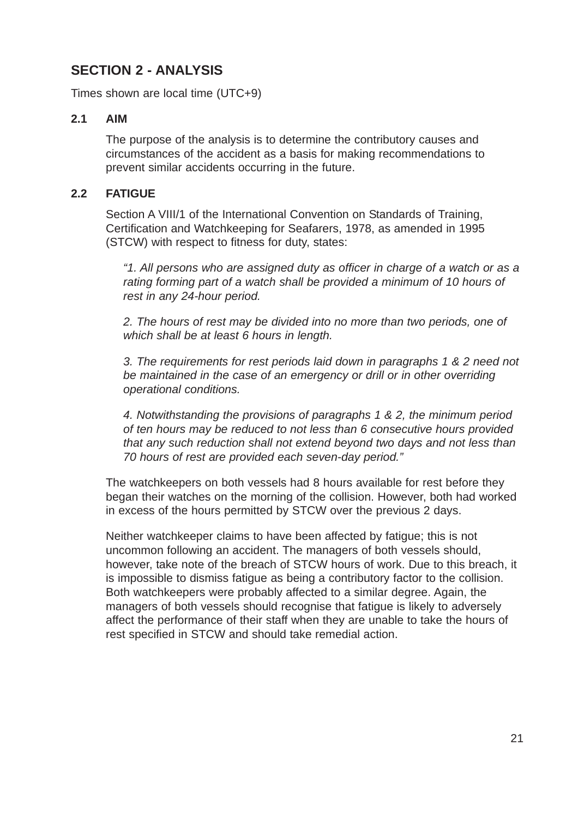# **SECTION 2 - ANALYSIS**

Times shown are local time (UTC+9)

# **2.1 AIM**

The purpose of the analysis is to determine the contributory causes and circumstances of the accident as a basis for making recommendations to prevent similar accidents occurring in the future.

# **2.2 FATIGUE**

Section A VIII/1 of the International Convention on Standards of Training, Certification and Watchkeeping for Seafarers, 1978, as amended in 1995 (STCW) with respect to fitness for duty, states:

*"1. All persons who are assigned duty as officer in charge of a watch or as a rating forming part of a watch shall be provided a minimum of 10 hours of rest in any 24-hour period.*

*2. The hours of rest may be divided into no more than two periods, one of which shall be at least 6 hours in length.*

*3. The requirements for rest periods laid down in paragraphs 1 & 2 need not be maintained in the case of an emergency or drill or in other overriding operational conditions.*

*4. Notwithstanding the provisions of paragraphs 1 & 2, the minimum period of ten hours may be reduced to not less than 6 consecutive hours provided that any such reduction shall not extend beyond two days and not less than 70 hours of rest are provided each seven-day period."*

The watchkeepers on both vessels had 8 hours available for rest before they began their watches on the morning of the collision. However, both had worked in excess of the hours permitted by STCW over the previous 2 days.

Neither watchkeeper claims to have been affected by fatigue; this is not uncommon following an accident. The managers of both vessels should, however, take note of the breach of STCW hours of work. Due to this breach, it is impossible to dismiss fatigue as being a contributory factor to the collision. Both watchkeepers were probably affected to a similar degree. Again, the managers of both vessels should recognise that fatigue is likely to adversely affect the performance of their staff when they are unable to take the hours of rest specified in STCW and should take remedial action.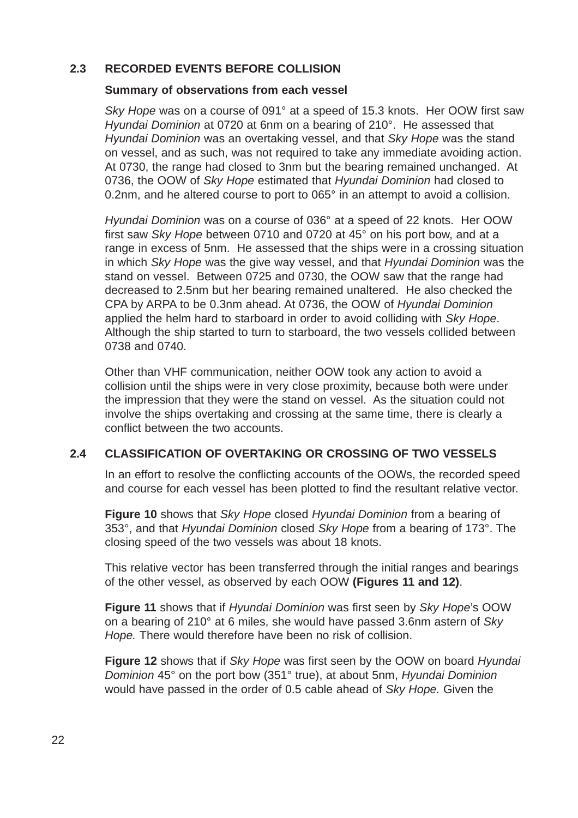### **2.3 RECORDED EVENTS BEFORE COLLISION**

#### **Summary of observations from each vessel**

*Sky Hope* was on a course of 091° at a speed of 15.3 knots. Her OOW first saw *Hyundai Dominion* at 0720 at 6nm on a bearing of 210°. He assessed that *Hyundai Dominion* was an overtaking vessel, and that *Sky Hope* was the stand on vessel, and as such, was not required to take any immediate avoiding action. At 0730, the range had closed to 3nm but the bearing remained unchanged. At 0736, the OOW of *Sky Hope* estimated that *Hyundai Dominion* had closed to 0.2nm, and he altered course to port to 065° in an attempt to avoid a collision.

*Hyundai Dominion* was on a course of 036° at a speed of 22 knots. Her OOW first saw *Sky Hope* between 0710 and 0720 at 45° on his port bow, and at a range in excess of 5nm. He assessed that the ships were in a crossing situation in which *Sky Hope* was the give way vessel, and that *Hyundai Dominion* was the stand on vessel. Between 0725 and 0730, the OOW saw that the range had decreased to 2.5nm but her bearing remained unaltered. He also checked the CPA by ARPA to be 0.3nm ahead. At 0736, the OOW of *Hyundai Dominion* applied the helm hard to starboard in order to avoid colliding with *Sky Hope*. Although the ship started to turn to starboard, the two vessels collided between 0738 and 0740.

Other than VHF communication, neither OOW took any action to avoid a collision until the ships were in very close proximity, because both were under the impression that they were the stand on vessel. As the situation could not involve the ships overtaking and crossing at the same time, there is clearly a conflict between the two accounts.

### **2.4 CLASSIFICATION OF OVERTAKING OR CROSSING OF TWO VESSELS**

In an effort to resolve the conflicting accounts of the OOWs, the recorded speed and course for each vessel has been plotted to find the resultant relative vector.

**Figure 10** shows that *Sky Hope* closed *Hyundai Dominion* from a bearing of 353°, and that *Hyundai Dominion* closed *Sky Hope* from a bearing of 173°. The closing speed of the two vessels was about 18 knots.

This relative vector has been transferred through the initial ranges and bearings of the other vessel, as observed by each OOW **(Figures 11 and 12)**.

**Figure 11** shows that if *Hyundai Dominion* was first seen by *Sky Hope*'s OOW on a bearing of 210° at 6 miles, she would have passed 3.6nm astern of *Sky Hope.* There would therefore have been no risk of collision.

**Figure 12** shows that if *Sky Hope* was first seen by the OOW on board *Hyundai Dominion* 45° on the port bow (351° true), at about 5nm, *Hyundai Dominion* would have passed in the order of 0.5 cable ahead of *Sky Hope.* Given the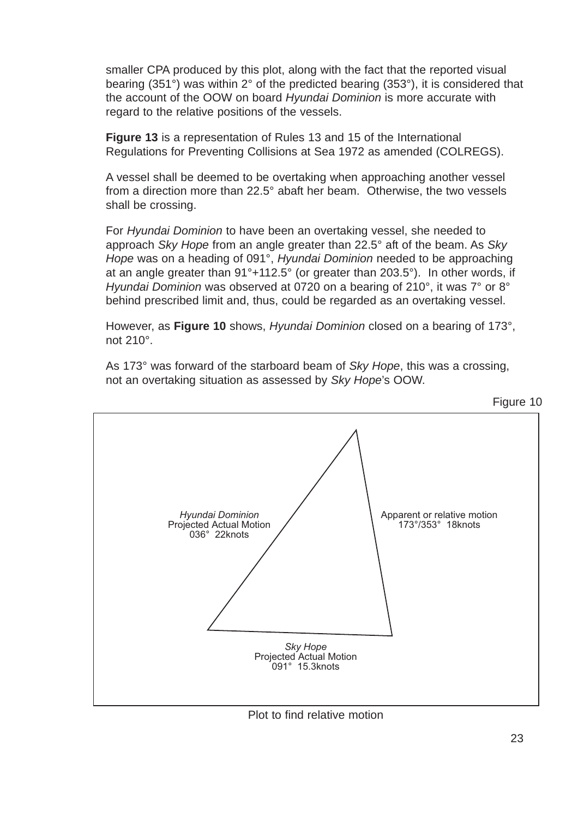smaller CPA produced by this plot, along with the fact that the reported visual bearing (351°) was within 2° of the predicted bearing (353°), it is considered that the account of the OOW on board *Hyundai Dominion* is more accurate with regard to the relative positions of the vessels.

**Figure 13** is a representation of Rules 13 and 15 of the International Regulations for Preventing Collisions at Sea 1972 as amended (COLREGS).

A vessel shall be deemed to be overtaking when approaching another vessel from a direction more than 22.5° abaft her beam. Otherwise, the two vessels shall be crossing.

For *Hyundai Dominion* to have been an overtaking vessel, she needed to approach *Sky Hope* from an angle greater than 22.5° aft of the beam. As *Sky Hope* was on a heading of 091°, *Hyundai Dominion* needed to be approaching at an angle greater than 91°+112.5° (or greater than 203.5°). In other words, if *Hyundai Dominion* was observed at 0720 on a bearing of 210°, it was 7° or 8° behind prescribed limit and, thus, could be regarded as an overtaking vessel.

However, as **Figure 10** shows, *Hyundai Dominion* closed on a bearing of 173°, not 210°.

As 173° was forward of the starboard beam of *Sky Hope*, this was a crossing, not an overtaking situation as assessed by *Sky Hope*'s OOW.



Plot to find relative motion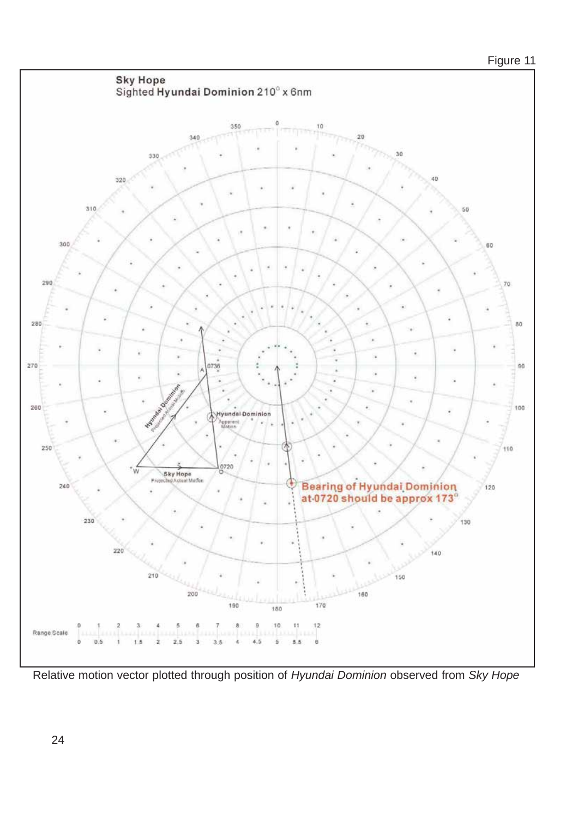

Relative motion vector plotted through position of *Hyundai Dominion* observed from *Sky Hope*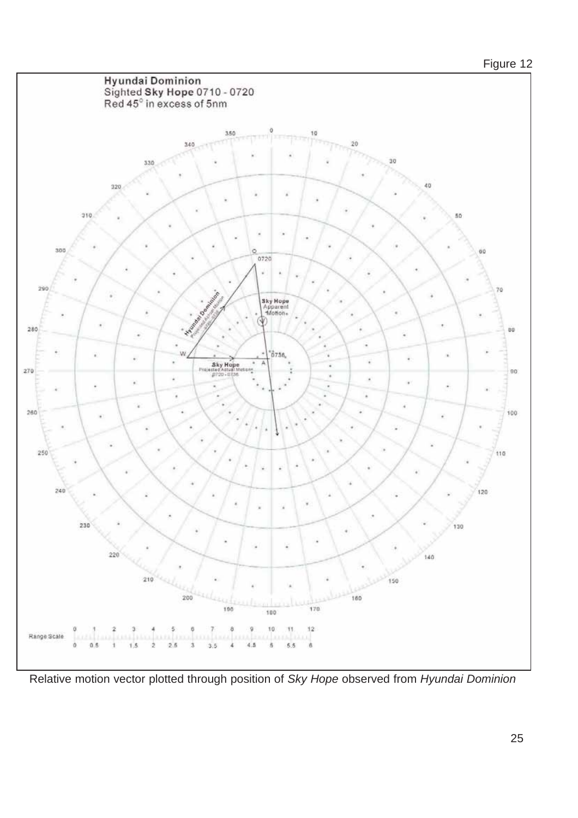# Figure 12



Relative motion vector plotted through position of *Sky Hope* observed from *Hyundai Dominion*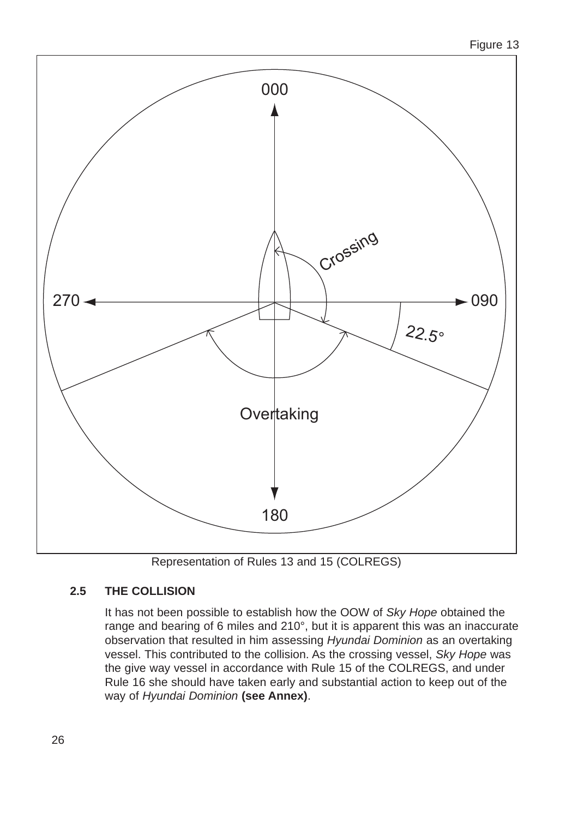

Representation of Rules 13 and 15 (COLREGS)

# **2.5 THE COLLISION**

It has not been possible to establish how the OOW of *Sky Hope* obtained the range and bearing of 6 miles and 210°, but it is apparent this was an inaccurate observation that resulted in him assessing *Hyundai Dominion* as an overtaking vessel. This contributed to the collision. As the crossing vessel, *Sky Hope* was the give way vessel in accordance with Rule 15 of the COLREGS, and under Rule 16 she should have taken early and substantial action to keep out of the way of *Hyundai Dominion* **(see Annex)**.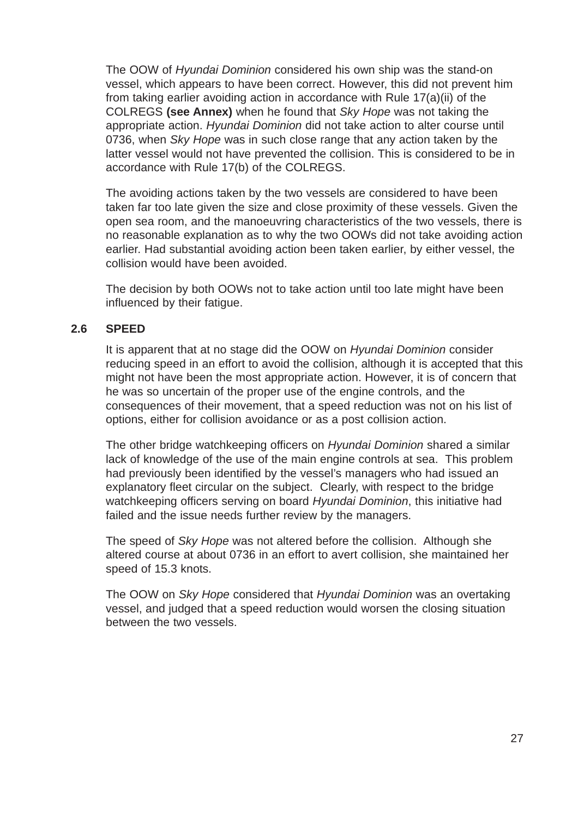The OOW of *Hyundai Dominion* considered his own ship was the stand-on vessel, which appears to have been correct. However, this did not prevent him from taking earlier avoiding action in accordance with Rule 17(a)(ii) of the COLREGS **(see Annex)** when he found that *Sky Hope* was not taking the appropriate action. *Hyundai Dominion* did not take action to alter course until 0736, when *Sky Hope* was in such close range that any action taken by the latter vessel would not have prevented the collision. This is considered to be in accordance with Rule 17(b) of the COLREGS.

The avoiding actions taken by the two vessels are considered to have been taken far too late given the size and close proximity of these vessels. Given the open sea room, and the manoeuvring characteristics of the two vessels, there is no reasonable explanation as to why the two OOWs did not take avoiding action earlier. Had substantial avoiding action been taken earlier, by either vessel, the collision would have been avoided.

The decision by both OOWs not to take action until too late might have been influenced by their fatigue.

### **2.6 SPEED**

It is apparent that at no stage did the OOW on *Hyundai Dominion* consider reducing speed in an effort to avoid the collision, although it is accepted that this might not have been the most appropriate action. However, it is of concern that he was so uncertain of the proper use of the engine controls, and the consequences of their movement, that a speed reduction was not on his list of options, either for collision avoidance or as a post collision action.

The other bridge watchkeeping officers on *Hyundai Dominion* shared a similar lack of knowledge of the use of the main engine controls at sea. This problem had previously been identified by the vessel's managers who had issued an explanatory fleet circular on the subject. Clearly, with respect to the bridge watchkeeping officers serving on board *Hyundai Dominion*, this initiative had failed and the issue needs further review by the managers.

The speed of *Sky Hope* was not altered before the collision. Although she altered course at about 0736 in an effort to avert collision, she maintained her speed of 15.3 knots.

The OOW on *Sky Hope* considered that *Hyundai Dominion* was an overtaking vessel, and judged that a speed reduction would worsen the closing situation between the two vessels.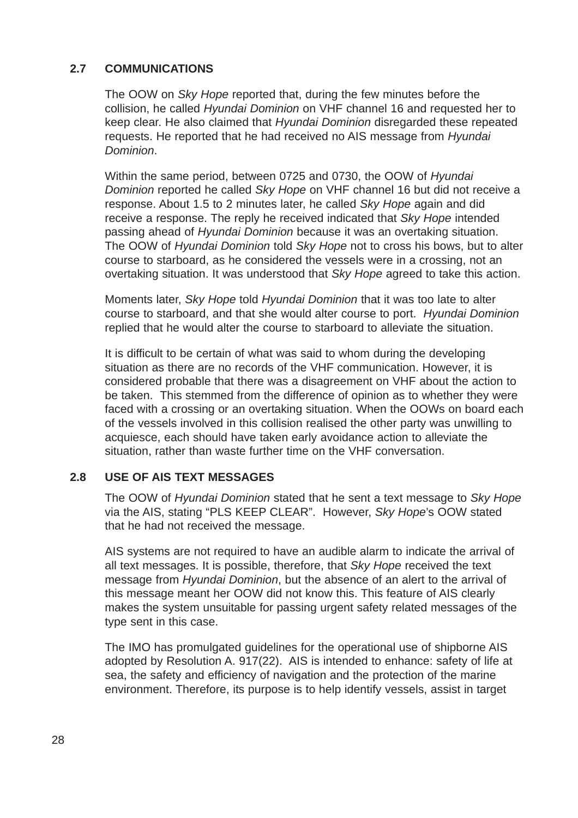# **2.7 COMMUNICATIONS**

The OOW on *Sky Hope* reported that, during the few minutes before the collision, he called *Hyundai Dominion* on VHF channel 16 and requested her to keep clear. He also claimed that *Hyundai Dominion* disregarded these repeated requests. He reported that he had received no AIS message from *Hyundai Dominion*.

Within the same period, between 0725 and 0730, the OOW of *Hyundai Dominion* reported he called *Sky Hope* on VHF channel 16 but did not receive a response. About 1.5 to 2 minutes later, he called *Sky Hope* again and did receive a response. The reply he received indicated that *Sky Hope* intended passing ahead of *Hyundai Dominion* because it was an overtaking situation. The OOW of *Hyundai Dominion* told *Sky Hope* not to cross his bows, but to alter course to starboard, as he considered the vessels were in a crossing, not an overtaking situation. It was understood that *Sky Hope* agreed to take this action.

Moments later, *Sky Hope* told *Hyundai Dominion* that it was too late to alter course to starboard, and that she would alter course to port. *Hyundai Dominion* replied that he would alter the course to starboard to alleviate the situation.

It is difficult to be certain of what was said to whom during the developing situation as there are no records of the VHF communication. However, it is considered probable that there was a disagreement on VHF about the action to be taken. This stemmed from the difference of opinion as to whether they were faced with a crossing or an overtaking situation. When the OOWs on board each of the vessels involved in this collision realised the other party was unwilling to acquiesce, each should have taken early avoidance action to alleviate the situation, rather than waste further time on the VHF conversation.

# **2.8 USE OF AIS TEXT MESSAGES**

The OOW of *Hyundai Dominion* stated that he sent a text message to *Sky Hope* via the AIS, stating "PLS KEEP CLEAR". However, *Sky Hope*'s OOW stated that he had not received the message.

AIS systems are not required to have an audible alarm to indicate the arrival of all text messages. It is possible, therefore, that *Sky Hope* received the text message from *Hyundai Dominion*, but the absence of an alert to the arrival of this message meant her OOW did not know this. This feature of AIS clearly makes the system unsuitable for passing urgent safety related messages of the type sent in this case.

The IMO has promulgated guidelines for the operational use of shipborne AIS adopted by Resolution A. 917(22). AIS is intended to enhance: safety of life at sea, the safety and efficiency of navigation and the protection of the marine environment. Therefore, its purpose is to help identify vessels, assist in target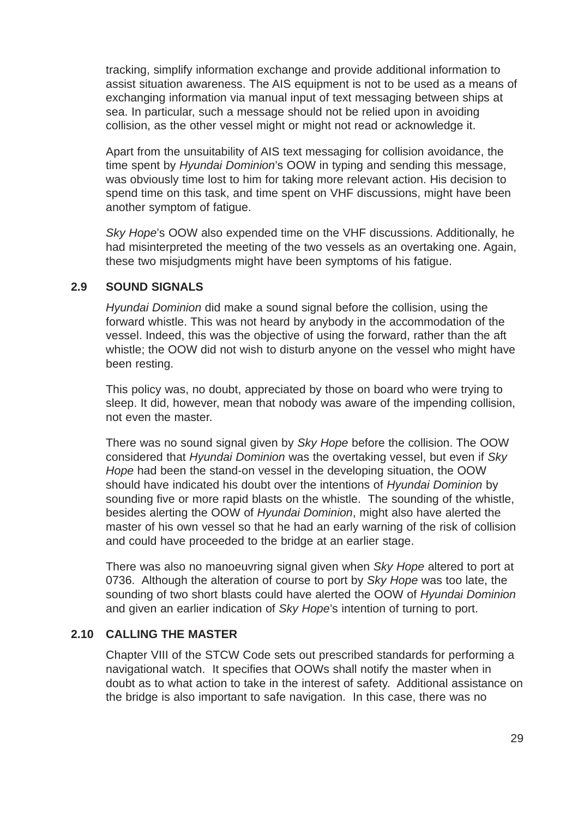tracking, simplify information exchange and provide additional information to assist situation awareness. The AIS equipment is not to be used as a means of exchanging information via manual input of text messaging between ships at sea. In particular, such a message should not be relied upon in avoiding collision, as the other vessel might or might not read or acknowledge it.

Apart from the unsuitability of AIS text messaging for collision avoidance, the time spent by *Hyundai Dominion*'s OOW in typing and sending this message, was obviously time lost to him for taking more relevant action. His decision to spend time on this task, and time spent on VHF discussions, might have been another symptom of fatigue.

*Sky Hope*'s OOW also expended time on the VHF discussions. Additionally, he had misinterpreted the meeting of the two vessels as an overtaking one. Again, these two misjudgments might have been symptoms of his fatigue.

### **2.9 SOUND SIGNALS**

*Hyundai Dominion* did make a sound signal before the collision, using the forward whistle. This was not heard by anybody in the accommodation of the vessel. Indeed, this was the objective of using the forward, rather than the aft whistle; the OOW did not wish to disturb anyone on the vessel who might have been resting.

This policy was, no doubt, appreciated by those on board who were trying to sleep. It did, however, mean that nobody was aware of the impending collision, not even the master.

There was no sound signal given by *Sky Hope* before the collision. The OOW considered that *Hyundai Dominion* was the overtaking vessel, but even if *Sky Hope* had been the stand-on vessel in the developing situation, the OOW should have indicated his doubt over the intentions of *Hyundai Dominion* by sounding five or more rapid blasts on the whistle. The sounding of the whistle, besides alerting the OOW of *Hyundai Dominion*, might also have alerted the master of his own vessel so that he had an early warning of the risk of collision and could have proceeded to the bridge at an earlier stage.

There was also no manoeuvring signal given when *Sky Hope* altered to port at 0736. Although the alteration of course to port by *Sky Hope* was too late, the sounding of two short blasts could have alerted the OOW of *Hyundai Dominion* and given an earlier indication of *Sky Hope*'s intention of turning to port.

### **2.10 CALLING THE MASTER**

Chapter VIII of the STCW Code sets out prescribed standards for performing a navigational watch. It specifies that OOWs shall notify the master when in doubt as to what action to take in the interest of safety. Additional assistance on the bridge is also important to safe navigation. In this case, there was no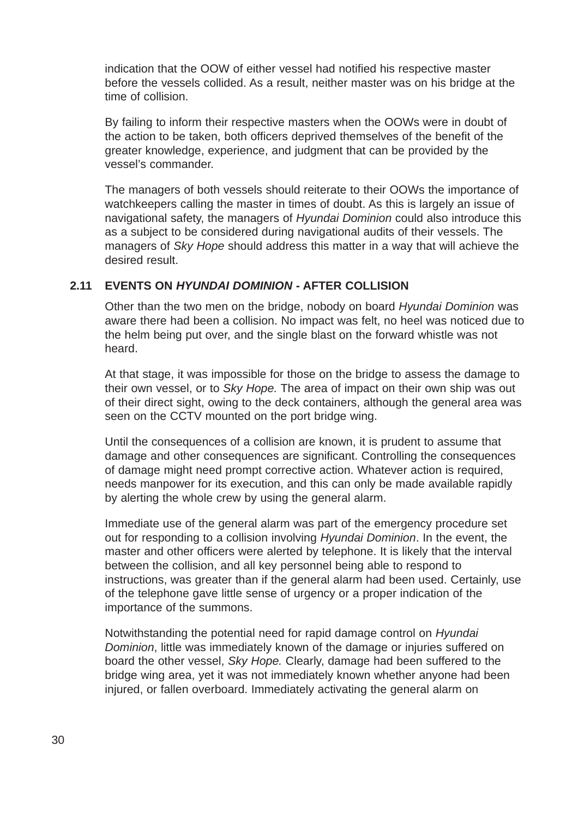indication that the OOW of either vessel had notified his respective master before the vessels collided. As a result, neither master was on his bridge at the time of collision.

By failing to inform their respective masters when the OOWs were in doubt of the action to be taken, both officers deprived themselves of the benefit of the greater knowledge, experience, and judgment that can be provided by the vessel's commander.

The managers of both vessels should reiterate to their OOWs the importance of watchkeepers calling the master in times of doubt. As this is largely an issue of navigational safety, the managers of *Hyundai Dominion* could also introduce this as a subject to be considered during navigational audits of their vessels. The managers of *Sky Hope* should address this matter in a way that will achieve the desired result.

#### **2.11 EVENTS ON** *HYUNDAI DOMINION* **- AFTER COLLISION**

Other than the two men on the bridge, nobody on board *Hyundai Dominion* was aware there had been a collision. No impact was felt, no heel was noticed due to the helm being put over, and the single blast on the forward whistle was not heard.

At that stage, it was impossible for those on the bridge to assess the damage to their own vessel, or to *Sky Hope.* The area of impact on their own ship was out of their direct sight, owing to the deck containers, although the general area was seen on the CCTV mounted on the port bridge wing.

Until the consequences of a collision are known, it is prudent to assume that damage and other consequences are significant. Controlling the consequences of damage might need prompt corrective action. Whatever action is required, needs manpower for its execution, and this can only be made available rapidly by alerting the whole crew by using the general alarm.

Immediate use of the general alarm was part of the emergency procedure set out for responding to a collision involving *Hyundai Dominion*. In the event, the master and other officers were alerted by telephone. It is likely that the interval between the collision, and all key personnel being able to respond to instructions, was greater than if the general alarm had been used. Certainly, use of the telephone gave little sense of urgency or a proper indication of the importance of the summons.

Notwithstanding the potential need for rapid damage control on *Hyundai Dominion*, little was immediately known of the damage or injuries suffered on board the other vessel, *Sky Hope.* Clearly, damage had been suffered to the bridge wing area, yet it was not immediately known whether anyone had been injured, or fallen overboard. Immediately activating the general alarm on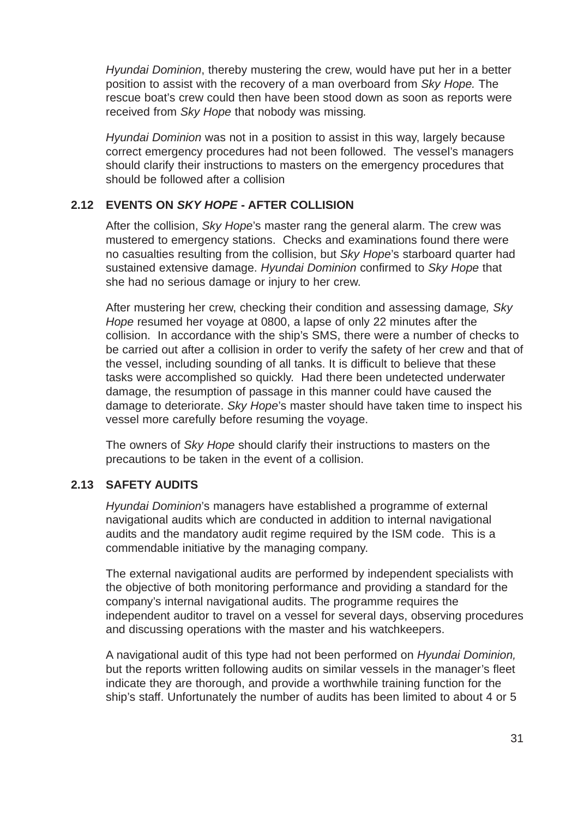*Hyundai Dominion*, thereby mustering the crew, would have put her in a better position to assist with the recovery of a man overboard from *Sky Hope.* The rescue boat's crew could then have been stood down as soon as reports were received from *Sky Hope* that nobody was missing*.*

*Hyundai Dominion* was not in a position to assist in this way, largely because correct emergency procedures had not been followed. The vessel's managers should clarify their instructions to masters on the emergency procedures that should be followed after a collision

### **2.12 EVENTS ON** *SKY HOPE* **- AFTER COLLISION**

After the collision, *Sky Hope*'s master rang the general alarm. The crew was mustered to emergency stations. Checks and examinations found there were no casualties resulting from the collision, but *Sky Hope*'s starboard quarter had sustained extensive damage. *Hyundai Dominion* confirmed to *Sky Hope* that she had no serious damage or injury to her crew.

After mustering her crew, checking their condition and assessing damage*, Sky Hope* resumed her voyage at 0800, a lapse of only 22 minutes after the collision. In accordance with the ship's SMS, there were a number of checks to be carried out after a collision in order to verify the safety of her crew and that of the vessel, including sounding of all tanks. It is difficult to believe that these tasks were accomplished so quickly. Had there been undetected underwater damage, the resumption of passage in this manner could have caused the damage to deteriorate. *Sky Hope*'s master should have taken time to inspect his vessel more carefully before resuming the voyage.

The owners of *Sky Hope* should clarify their instructions to masters on the precautions to be taken in the event of a collision.

# **2.13 SAFETY AUDITS**

*Hyundai Dominion*'s managers have established a programme of external navigational audits which are conducted in addition to internal navigational audits and the mandatory audit regime required by the ISM code. This is a commendable initiative by the managing company.

The external navigational audits are performed by independent specialists with the objective of both monitoring performance and providing a standard for the company's internal navigational audits. The programme requires the independent auditor to travel on a vessel for several days, observing procedures and discussing operations with the master and his watchkeepers.

A navigational audit of this type had not been performed on *Hyundai Dominion,* but the reports written following audits on similar vessels in the manager's fleet indicate they are thorough, and provide a worthwhile training function for the ship's staff. Unfortunately the number of audits has been limited to about 4 or 5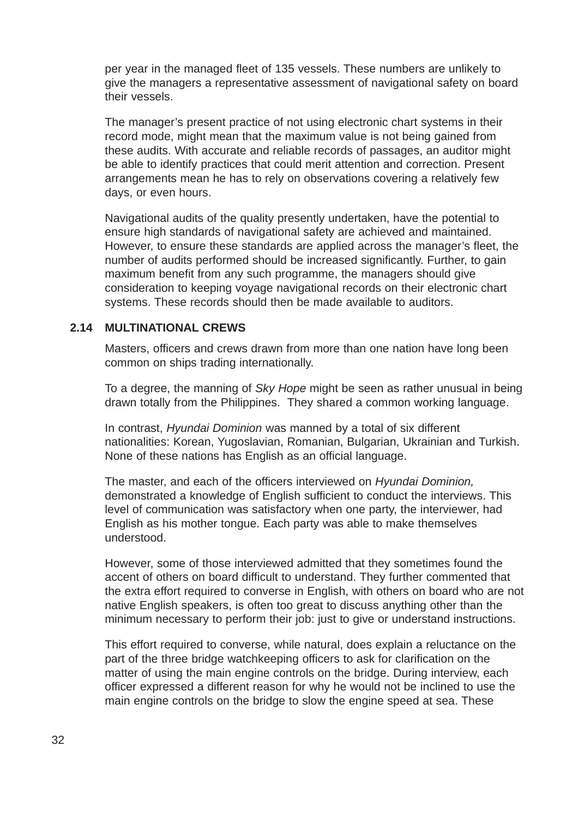per year in the managed fleet of 135 vessels. These numbers are unlikely to give the managers a representative assessment of navigational safety on board their vessels.

The manager's present practice of not using electronic chart systems in their record mode, might mean that the maximum value is not being gained from these audits. With accurate and reliable records of passages, an auditor might be able to identify practices that could merit attention and correction. Present arrangements mean he has to rely on observations covering a relatively few days, or even hours.

Navigational audits of the quality presently undertaken, have the potential to ensure high standards of navigational safety are achieved and maintained. However, to ensure these standards are applied across the manager's fleet, the number of audits performed should be increased significantly. Further, to gain maximum benefit from any such programme, the managers should give consideration to keeping voyage navigational records on their electronic chart systems. These records should then be made available to auditors.

### **2.14 MULTINATIONAL CREWS**

Masters, officers and crews drawn from more than one nation have long been common on ships trading internationally.

To a degree, the manning of *Sky Hope* might be seen as rather unusual in being drawn totally from the Philippines. They shared a common working language.

In contrast, *Hyundai Dominion* was manned by a total of six different nationalities: Korean, Yugoslavian, Romanian, Bulgarian, Ukrainian and Turkish. None of these nations has English as an official language.

The master, and each of the officers interviewed on *Hyundai Dominion,* demonstrated a knowledge of English sufficient to conduct the interviews. This level of communication was satisfactory when one party, the interviewer, had English as his mother tongue. Each party was able to make themselves understood.

However, some of those interviewed admitted that they sometimes found the accent of others on board difficult to understand. They further commented that the extra effort required to converse in English, with others on board who are not native English speakers, is often too great to discuss anything other than the minimum necessary to perform their job: just to give or understand instructions.

This effort required to converse, while natural, does explain a reluctance on the part of the three bridge watchkeeping officers to ask for clarification on the matter of using the main engine controls on the bridge. During interview, each officer expressed a different reason for why he would not be inclined to use the main engine controls on the bridge to slow the engine speed at sea. These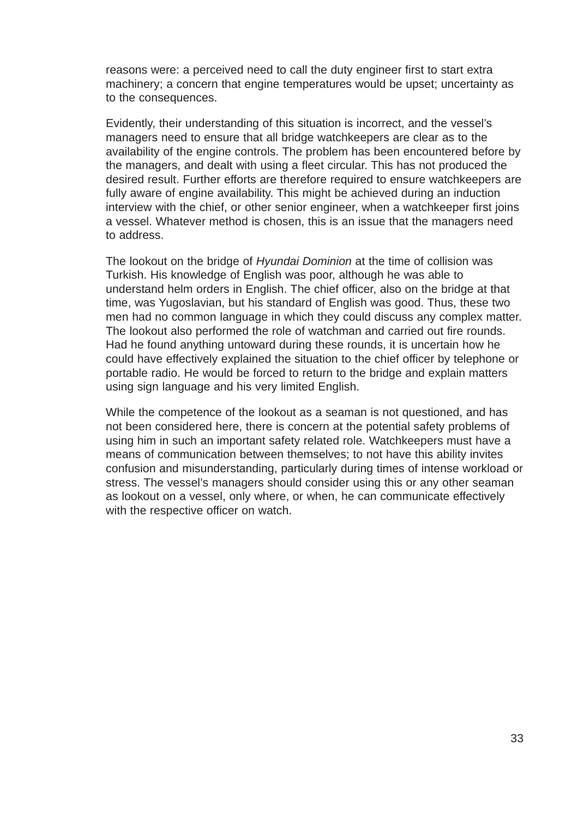reasons were: a perceived need to call the duty engineer first to start extra machinery; a concern that engine temperatures would be upset; uncertainty as to the consequences.

Evidently, their understanding of this situation is incorrect, and the vessel's managers need to ensure that all bridge watchkeepers are clear as to the availability of the engine controls. The problem has been encountered before by the managers, and dealt with using a fleet circular. This has not produced the desired result. Further efforts are therefore required to ensure watchkeepers are fully aware of engine availability. This might be achieved during an induction interview with the chief, or other senior engineer, when a watchkeeper first joins a vessel. Whatever method is chosen, this is an issue that the managers need to address.

The lookout on the bridge of *Hyundai Dominion* at the time of collision was Turkish. His knowledge of English was poor, although he was able to understand helm orders in English. The chief officer, also on the bridge at that time, was Yugoslavian, but his standard of English was good. Thus, these two men had no common language in which they could discuss any complex matter. The lookout also performed the role of watchman and carried out fire rounds. Had he found anything untoward during these rounds, it is uncertain how he could have effectively explained the situation to the chief officer by telephone or portable radio. He would be forced to return to the bridge and explain matters using sign language and his very limited English.

While the competence of the lookout as a seaman is not questioned, and has not been considered here, there is concern at the potential safety problems of using him in such an important safety related role. Watchkeepers must have a means of communication between themselves; to not have this ability invites confusion and misunderstanding, particularly during times of intense workload or stress. The vessel's managers should consider using this or any other seaman as lookout on a vessel, only where, or when, he can communicate effectively with the respective officer on watch.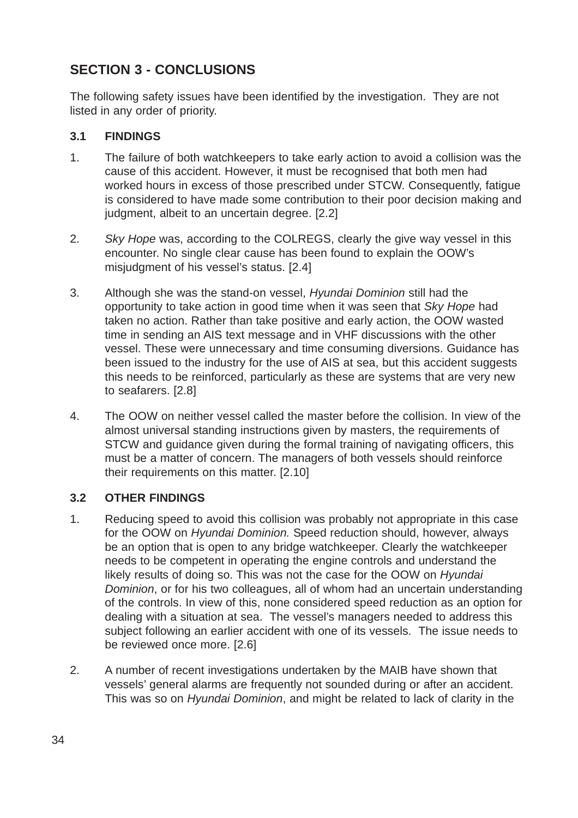# **SECTION 3 - CONCLUSIONS**

The following safety issues have been identified by the investigation. They are not listed in any order of priority.

# **3.1 FINDINGS**

- 1. The failure of both watchkeepers to take early action to avoid a collision was the cause of this accident. However, it must be recognised that both men had worked hours in excess of those prescribed under STCW. Consequently, fatigue is considered to have made some contribution to their poor decision making and judgment, albeit to an uncertain degree. [2.2]
- 2. *Sky Hope* was, according to the COLREGS, clearly the give way vessel in this encounter. No single clear cause has been found to explain the OOW's misjudgment of his vessel's status. [2.4]
- 3. Although she was the stand-on vessel, *Hyundai Dominion* still had the opportunity to take action in good time when it was seen that *Sky Hope* had taken no action. Rather than take positive and early action, the OOW wasted time in sending an AIS text message and in VHF discussions with the other vessel. These were unnecessary and time consuming diversions. Guidance has been issued to the industry for the use of AIS at sea, but this accident suggests this needs to be reinforced, particularly as these are systems that are very new to seafarers. [2.8]
- 4. The OOW on neither vessel called the master before the collision. In view of the almost universal standing instructions given by masters, the requirements of STCW and guidance given during the formal training of navigating officers, this must be a matter of concern. The managers of both vessels should reinforce their requirements on this matter. [2.10]

# **3.2 OTHER FINDINGS**

- 1. Reducing speed to avoid this collision was probably not appropriate in this case for the OOW on *Hyundai Dominion.* Speed reduction should, however, always be an option that is open to any bridge watchkeeper. Clearly the watchkeeper needs to be competent in operating the engine controls and understand the likely results of doing so. This was not the case for the OOW on *Hyundai Dominion*, or for his two colleagues, all of whom had an uncertain understanding of the controls. In view of this, none considered speed reduction as an option for dealing with a situation at sea. The vessel's managers needed to address this subject following an earlier accident with one of its vessels. The issue needs to be reviewed once more. [2.6]
- 2. A number of recent investigations undertaken by the MAIB have shown that vessels' general alarms are frequently not sounded during or after an accident. This was so on *Hyundai Dominion*, and might be related to lack of clarity in the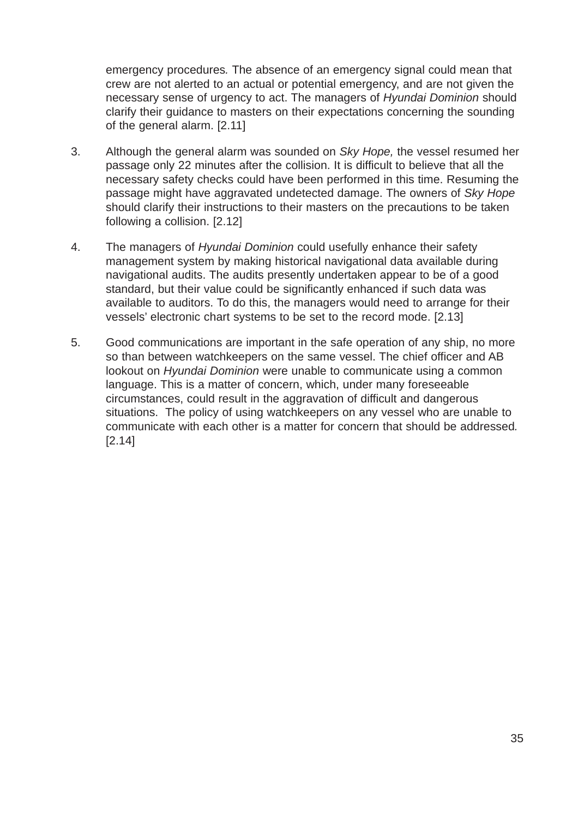emergency procedures*.* The absence of an emergency signal could mean that crew are not alerted to an actual or potential emergency, and are not given the necessary sense of urgency to act. The managers of *Hyundai Dominion* should clarify their guidance to masters on their expectations concerning the sounding of the general alarm. [2.11]

- 3. Although the general alarm was sounded on *Sky Hope,* the vessel resumed her passage only 22 minutes after the collision. It is difficult to believe that all the necessary safety checks could have been performed in this time. Resuming the passage might have aggravated undetected damage. The owners of *Sky Hope* should clarify their instructions to their masters on the precautions to be taken following a collision. [2.12]
- 4. The managers of *Hyundai Dominion* could usefully enhance their safety management system by making historical navigational data available during navigational audits. The audits presently undertaken appear to be of a good standard, but their value could be significantly enhanced if such data was available to auditors. To do this, the managers would need to arrange for their vessels' electronic chart systems to be set to the record mode. [2.13]
- 5. Good communications are important in the safe operation of any ship, no more so than between watchkeepers on the same vessel. The chief officer and AB lookout on *Hyundai Dominion* were unable to communicate using a common language. This is a matter of concern, which, under many foreseeable circumstances, could result in the aggravation of difficult and dangerous situations. The policy of using watchkeepers on any vessel who are unable to communicate with each other is a matter for concern that should be addressed*.* [2.14]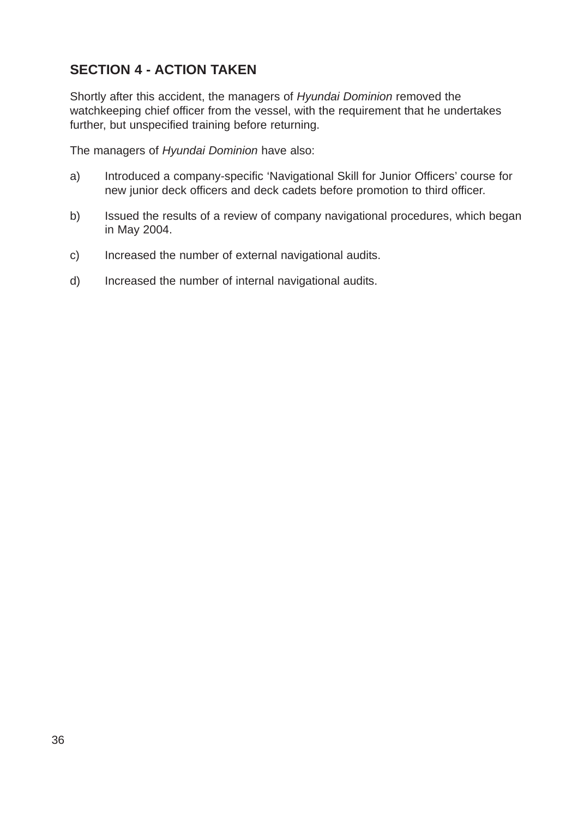# **SECTION 4 - ACTION TAKEN**

Shortly after this accident, the managers of *Hyundai Dominion* removed the watchkeeping chief officer from the vessel, with the requirement that he undertakes further, but unspecified training before returning.

The managers of *Hyundai Dominion* have also:

- a) Introduced a company-specific 'Navigational Skill for Junior Officers' course for new junior deck officers and deck cadets before promotion to third officer.
- b) Issued the results of a review of company navigational procedures, which began in May 2004.
- c) Increased the number of external navigational audits.
- d) Increased the number of internal navigational audits.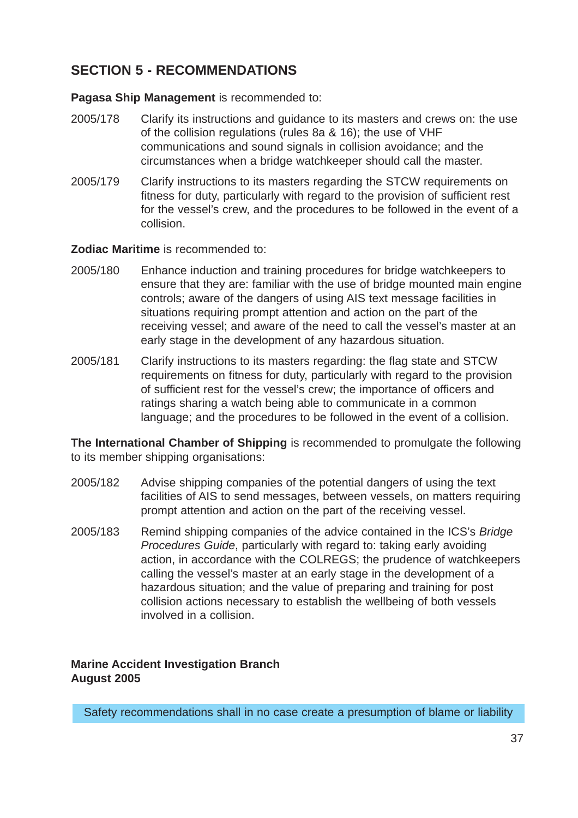# **SECTION 5 - RECOMMENDATIONS**

**Pagasa Ship Management** is recommended to:

- 2005/178 Clarify its instructions and guidance to its masters and crews on: the use of the collision regulations (rules 8a & 16); the use of VHF communications and sound signals in collision avoidance; and the circumstances when a bridge watchkeeper should call the master.
- 2005/179 Clarify instructions to its masters regarding the STCW requirements on fitness for duty, particularly with regard to the provision of sufficient rest for the vessel's crew, and the procedures to be followed in the event of a collision.

**Zodiac Maritime** is recommended to:

- 2005/180 Enhance induction and training procedures for bridge watchkeepers to ensure that they are: familiar with the use of bridge mounted main engine controls; aware of the dangers of using AIS text message facilities in situations requiring prompt attention and action on the part of the receiving vessel; and aware of the need to call the vessel's master at an early stage in the development of any hazardous situation.
- 2005/181 Clarify instructions to its masters regarding: the flag state and STCW requirements on fitness for duty, particularly with regard to the provision of sufficient rest for the vessel's crew; the importance of officers and ratings sharing a watch being able to communicate in a common language; and the procedures to be followed in the event of a collision.

**The International Chamber of Shipping** is recommended to promulgate the following to its member shipping organisations:

- 2005/182 Advise shipping companies of the potential dangers of using the text facilities of AIS to send messages, between vessels, on matters requiring prompt attention and action on the part of the receiving vessel.
- 2005/183 Remind shipping companies of the advice contained in the ICS's *Bridge Procedures Guide*, particularly with regard to: taking early avoiding action, in accordance with the COLREGS; the prudence of watchkeepers calling the vessel's master at an early stage in the development of a hazardous situation; and the value of preparing and training for post collision actions necessary to establish the wellbeing of both vessels involved in a collision.

# **Marine Accident Investigation Branch August 2005**

Safety recommendations shall in no case create a presumption of blame or liability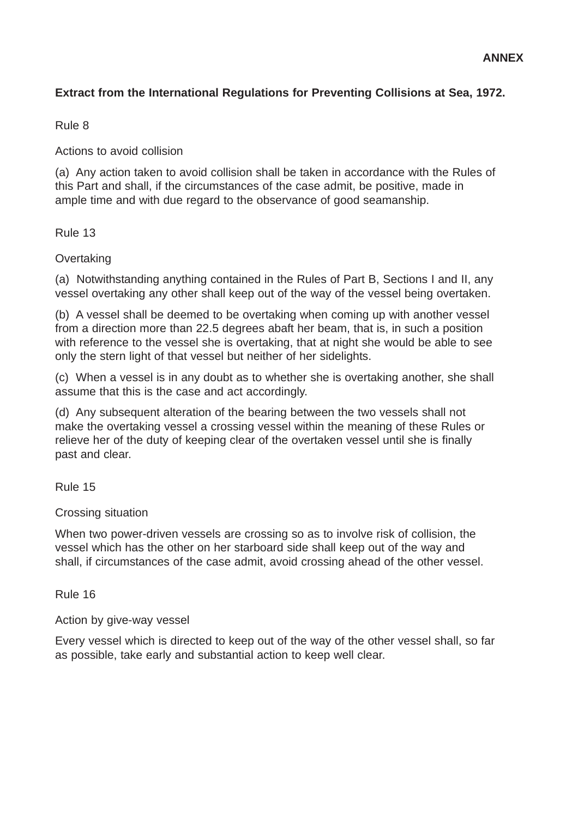#### **ANNEX**

# **Extract from the International Regulations for Preventing Collisions at Sea, 1972.**

### Rule 8

Actions to avoid collision

(a) Any action taken to avoid collision shall be taken in accordance with the Rules of this Part and shall, if the circumstances of the case admit, be positive, made in ample time and with due regard to the observance of good seamanship.

### Rule 13

### **Overtaking**

(a) Notwithstanding anything contained in the Rules of Part B, Sections I and II, any vessel overtaking any other shall keep out of the way of the vessel being overtaken.

(b) A vessel shall be deemed to be overtaking when coming up with another vessel from a direction more than 22.5 degrees abaft her beam, that is, in such a position with reference to the vessel she is overtaking, that at night she would be able to see only the stern light of that vessel but neither of her sidelights.

(c) When a vessel is in any doubt as to whether she is overtaking another, she shall assume that this is the case and act accordingly.

(d) Any subsequent alteration of the bearing between the two vessels shall not make the overtaking vessel a crossing vessel within the meaning of these Rules or relieve her of the duty of keeping clear of the overtaken vessel until she is finally past and clear.

Rule 15

### Crossing situation

When two power-driven vessels are crossing so as to involve risk of collision, the vessel which has the other on her starboard side shall keep out of the way and shall, if circumstances of the case admit, avoid crossing ahead of the other vessel.

Rule 16

Action by give-way vessel

Every vessel which is directed to keep out of the way of the other vessel shall, so far as possible, take early and substantial action to keep well clear.